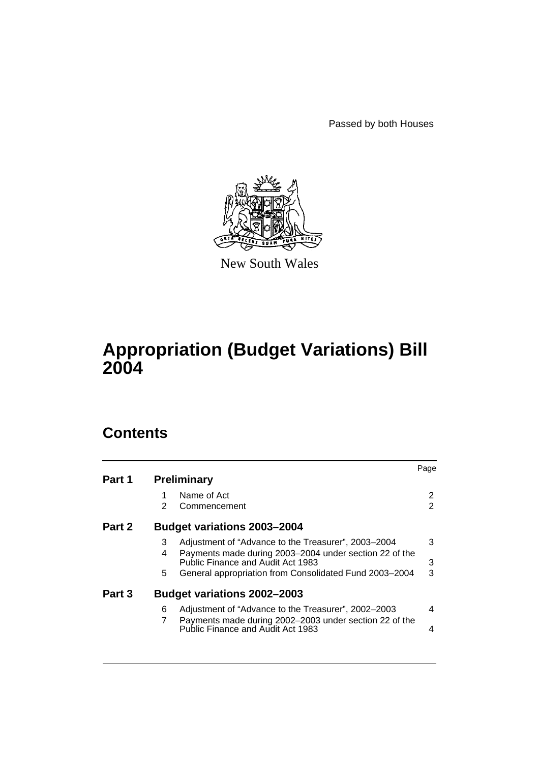Passed by both Houses



New South Wales

# **Appropriation (Budget Variations) Bill 2004**

## **Contents**

|        |   |                                                        | Page                  |
|--------|---|--------------------------------------------------------|-----------------------|
| Part 1 |   | <b>Preliminary</b>                                     |                       |
|        |   | Name of Act                                            | $\mathbf{2}^{\prime}$ |
|        | 2 | Commencement                                           | $\overline{2}$        |
| Part 2 |   | <b>Budget variations 2003-2004</b>                     |                       |
|        | 3 | Adjustment of "Advance to the Treasurer", 2003-2004    | 3                     |
|        | 4 | Payments made during 2003-2004 under section 22 of the |                       |
|        |   | Public Finance and Audit Act 1983                      | 3                     |
|        | 5 | General appropriation from Consolidated Fund 2003-2004 | 3                     |
| Part 3 |   | <b>Budget variations 2002-2003</b>                     |                       |
|        | 6 | Adjustment of "Advance to the Treasurer", 2002–2003    | 4                     |
|        |   | Payments made during 2002-2003 under section 22 of the |                       |
|        |   | Public Finance and Audit Act 1983                      | 4                     |
|        |   |                                                        |                       |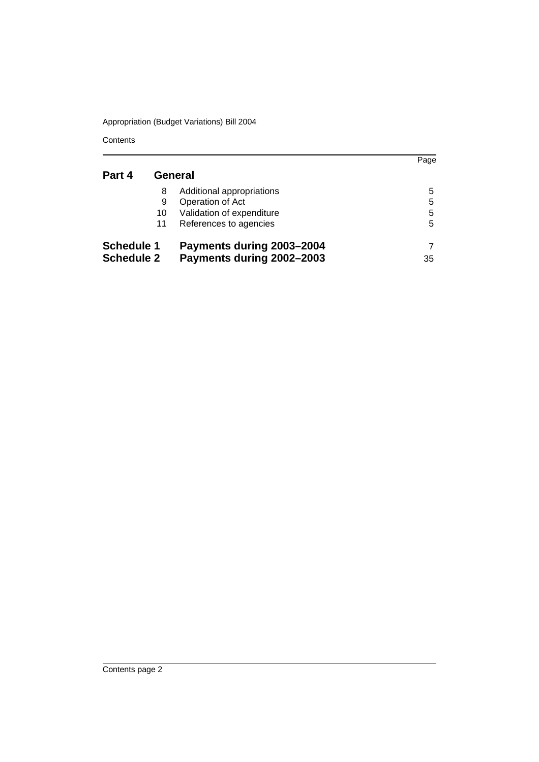**Contents** 

|                   |    |                           | Page |
|-------------------|----|---------------------------|------|
| Part 4            |    | General                   |      |
|                   | 8  | Additional appropriations | 5    |
|                   | 9  | Operation of Act          | 5    |
|                   | 10 | Validation of expenditure | 5    |
|                   | 11 | References to agencies    | 5    |
| <b>Schedule 1</b> |    | Payments during 2003-2004 |      |
| <b>Schedule 2</b> |    | Payments during 2002-2003 | 35   |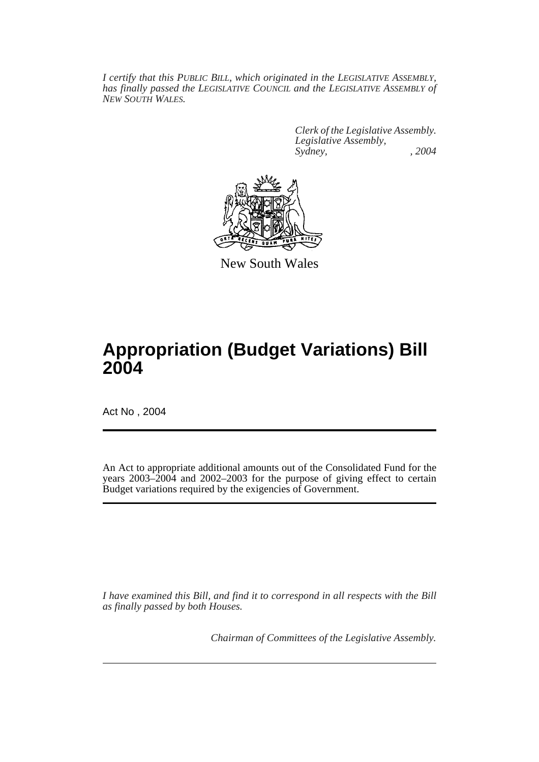*I certify that this PUBLIC BILL, which originated in the LEGISLATIVE ASSEMBLY, has finally passed the LEGISLATIVE COUNCIL and the LEGISLATIVE ASSEMBLY of NEW SOUTH WALES.*

> *Clerk of the Legislative Assembly. Legislative Assembly, Sydney, , 2004*



New South Wales

## **Appropriation (Budget Variations) Bill 2004**

Act No , 2004

An Act to appropriate additional amounts out of the Consolidated Fund for the years 2003–2004 and 2002–2003 for the purpose of giving effect to certain Budget variations required by the exigencies of Government.

*I have examined this Bill, and find it to correspond in all respects with the Bill as finally passed by both Houses.*

*Chairman of Committees of the Legislative Assembly.*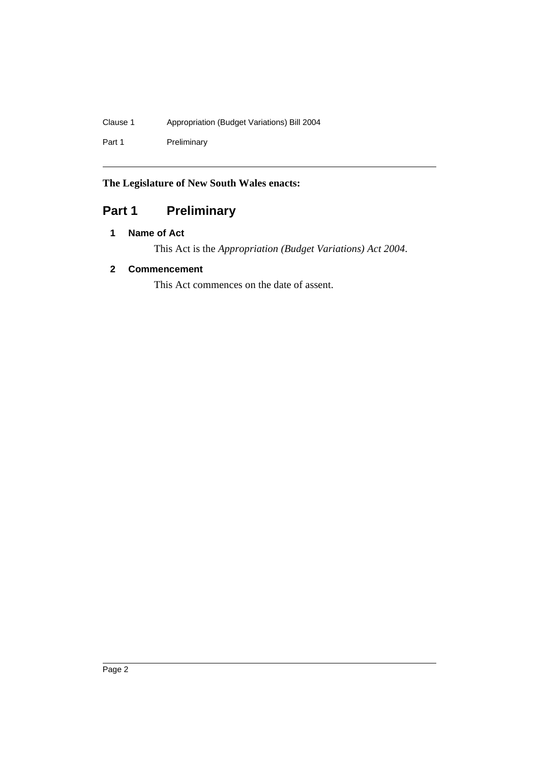## Clause 1 Appropriation (Budget Variations) Bill 2004

Part 1 Preliminary

## **The Legislature of New South Wales enacts:**

## Part 1 **Preliminary**

### **1 Name of Act**

This Act is the *Appropriation (Budget Variations) Act 2004*.

### **2 Commencement**

This Act commences on the date of assent.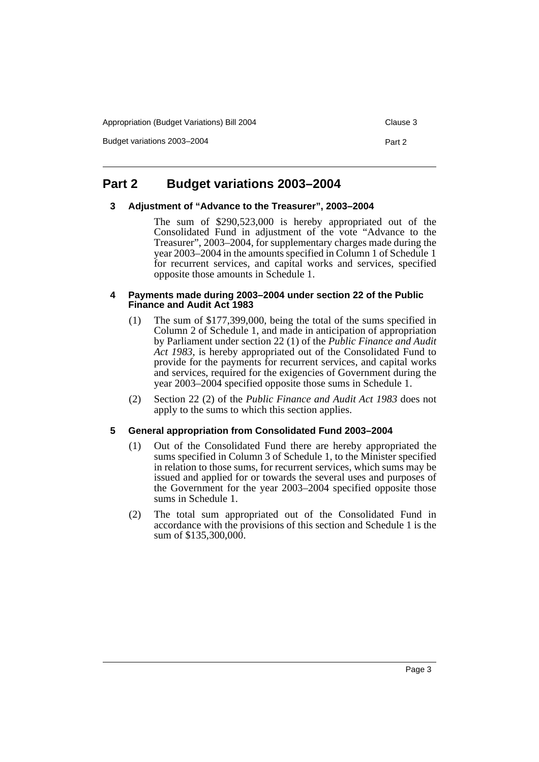Appropriation (Budget Variations) Bill 2004 Clause 3

Budget variations 2003–2004 **Part 2 Part 2** 

### **Part 2 Budget variations 2003–2004**

#### **3 Adjustment of "Advance to the Treasurer", 2003–2004**

The sum of \$290,523,000 is hereby appropriated out of the Consolidated Fund in adjustment of the vote "Advance to the Treasurer", 2003–2004, for supplementary charges made during the year 2003–2004 in the amounts specified in Column 1 of Schedule 1 for recurrent services, and capital works and services, specified opposite those amounts in Schedule 1.

#### **4 Payments made during 2003–2004 under section 22 of the Public Finance and Audit Act 1983**

- (1) The sum of \$177,399,000, being the total of the sums specified in Column 2 of Schedule 1, and made in anticipation of appropriation by Parliament under section 22 (1) of the *Public Finance and Audit Act 1983*, is hereby appropriated out of the Consolidated Fund to provide for the payments for recurrent services, and capital works and services, required for the exigencies of Government during the year 2003–2004 specified opposite those sums in Schedule 1.
- (2) Section 22 (2) of the *Public Finance and Audit Act 1983* does not apply to the sums to which this section applies.

#### **5 General appropriation from Consolidated Fund 2003–2004**

- (1) Out of the Consolidated Fund there are hereby appropriated the sums specified in Column 3 of Schedule 1, to the Minister specified in relation to those sums, for recurrent services, which sums may be issued and applied for or towards the several uses and purposes of the Government for the year 2003–2004 specified opposite those sums in Schedule 1.
- (2) The total sum appropriated out of the Consolidated Fund in accordance with the provisions of this section and Schedule 1 is the sum of \$135,300,000.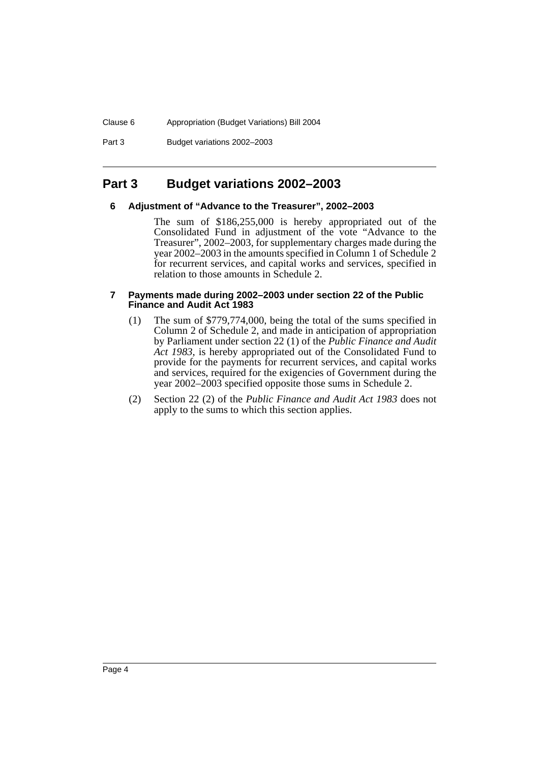#### Clause 6 Appropriation (Budget Variations) Bill 2004

Part 3 Budget variations 2002–2003

### **Part 3 Budget variations 2002–2003**

#### **6 Adjustment of "Advance to the Treasurer", 2002–2003**

The sum of \$186,255,000 is hereby appropriated out of the Consolidated Fund in adjustment of the vote "Advance to the Treasurer", 2002–2003, for supplementary charges made during the year 2002–2003 in the amounts specified in Column 1 of Schedule 2 for recurrent services, and capital works and services, specified in relation to those amounts in Schedule 2.

#### **7 Payments made during 2002–2003 under section 22 of the Public Finance and Audit Act 1983**

- (1) The sum of \$779,774,000, being the total of the sums specified in Column 2 of Schedule 2, and made in anticipation of appropriation by Parliament under section 22 (1) of the *Public Finance and Audit Act 1983*, is hereby appropriated out of the Consolidated Fund to provide for the payments for recurrent services, and capital works and services, required for the exigencies of Government during the year 2002–2003 specified opposite those sums in Schedule 2.
- (2) Section 22 (2) of the *Public Finance and Audit Act 1983* does not apply to the sums to which this section applies.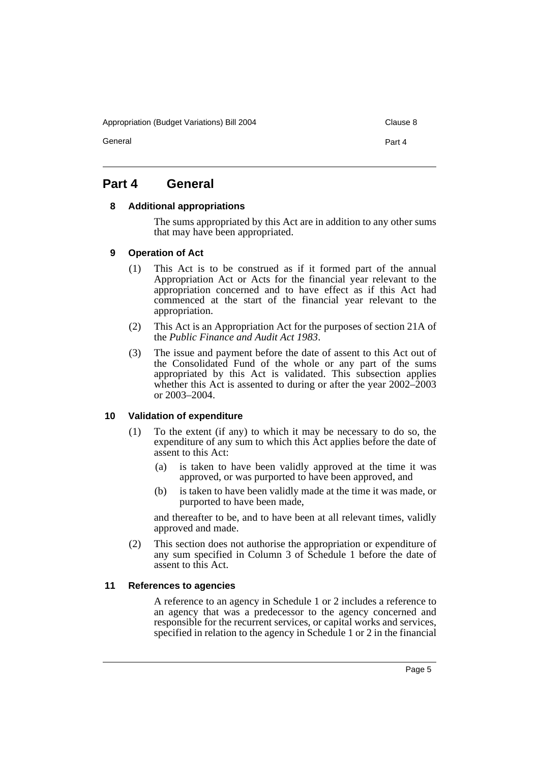Appropriation (Budget Variations) Bill 2004 Clause 8

General **Part 4** 

### **Part 4 General**

#### **8 Additional appropriations**

The sums appropriated by this Act are in addition to any other sums that may have been appropriated.

#### **9 Operation of Act**

- (1) This Act is to be construed as if it formed part of the annual Appropriation Act or Acts for the financial year relevant to the appropriation concerned and to have effect as if this Act had commenced at the start of the financial year relevant to the appropriation.
- (2) This Act is an Appropriation Act for the purposes of section 21A of the *Public Finance and Audit Act 1983*.
- (3) The issue and payment before the date of assent to this Act out of the Consolidated Fund of the whole or any part of the sums appropriated by this Act is validated. This subsection applies whether this Act is assented to during or after the year 2002–2003 or 2003–2004.

#### **10 Validation of expenditure**

- (1) To the extent (if any) to which it may be necessary to do so, the expenditure of any sum to which this Act applies before the date of assent to this Act:
	- (a) is taken to have been validly approved at the time it was approved, or was purported to have been approved, and
	- (b) is taken to have been validly made at the time it was made, or purported to have been made,

and thereafter to be, and to have been at all relevant times, validly approved and made.

(2) This section does not authorise the appropriation or expenditure of any sum specified in Column 3 of Schedule 1 before the date of assent to this Act.

#### **11 References to agencies**

A reference to an agency in Schedule 1 or 2 includes a reference to an agency that was a predecessor to the agency concerned and responsible for the recurrent services, or capital works and services, specified in relation to the agency in Schedule 1 or 2 in the financial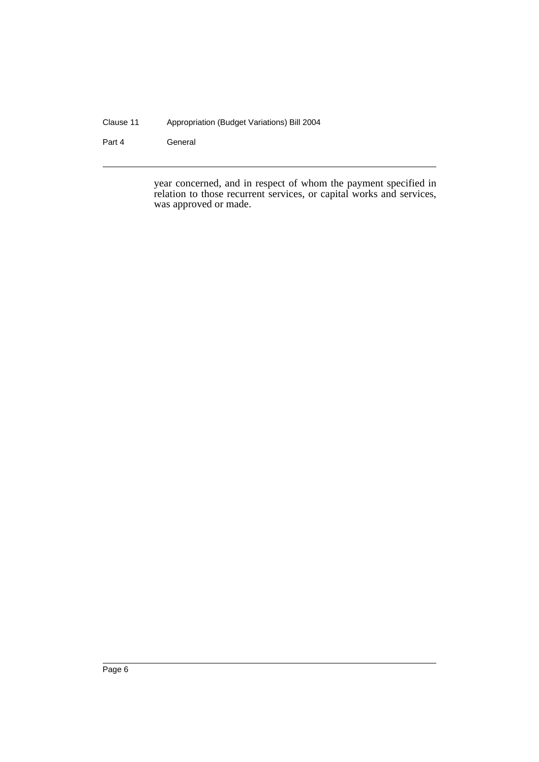#### Clause 11 Appropriation (Budget Variations) Bill 2004

Part 4 **General** 

year concerned, and in respect of whom the payment specified in relation to those recurrent services, or capital works and services, was approved or made.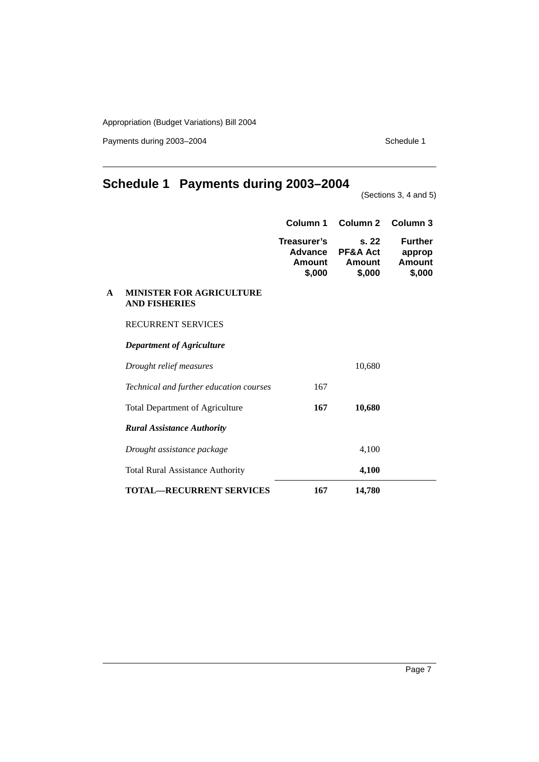Payments during 2003-2004 Schedule 1

## **Schedule 1 Payments during 2003–2004**

(Sections 3, 4 and 5)

|   |                                                         | Column 1                                                 | Column <sub>2</sub>                  | Column 3                                     |
|---|---------------------------------------------------------|----------------------------------------------------------|--------------------------------------|----------------------------------------------|
|   |                                                         | Treasurer's<br><b>Advance</b><br><b>Amount</b><br>\$,000 | s.22<br>PF&A Act<br>Amount<br>\$,000 | <b>Further</b><br>approp<br>Amount<br>\$,000 |
| A | <b>MINISTER FOR AGRICULTURE</b><br><b>AND FISHERIES</b> |                                                          |                                      |                                              |
|   | <b>RECURRENT SERVICES</b>                               |                                                          |                                      |                                              |
|   | Department of Agriculture                               |                                                          |                                      |                                              |
|   | Drought relief measures                                 |                                                          | 10,680                               |                                              |
|   | Technical and further education courses                 | 167                                                      |                                      |                                              |
|   | <b>Total Department of Agriculture</b>                  | 167                                                      | 10,680                               |                                              |
|   | <b>Rural Assistance Authority</b>                       |                                                          |                                      |                                              |
|   | Drought assistance package                              |                                                          | 4,100                                |                                              |
|   | <b>Total Rural Assistance Authority</b>                 |                                                          | 4,100                                |                                              |
|   | <b>TOTAL-RECURRENT SERVICES</b>                         | 167                                                      | 14,780                               |                                              |

Page 7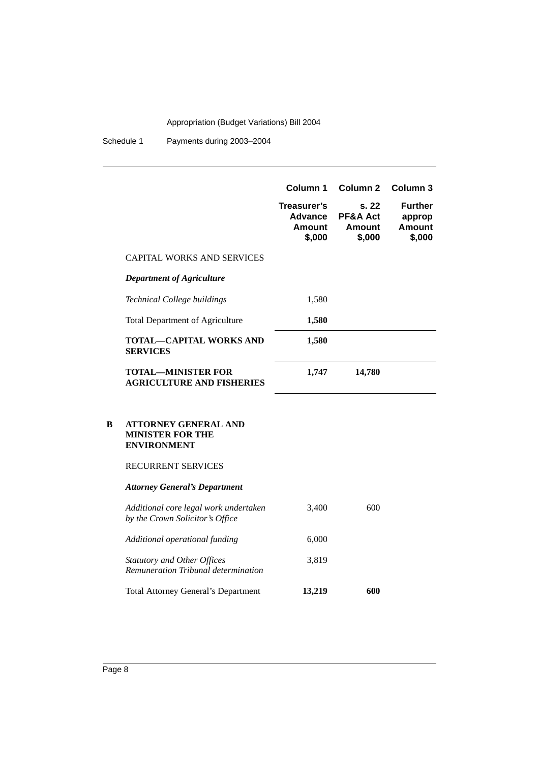Schedule 1 Payments during 2003–2004

|   |                                                                                                           | Column 1                                   | Column 2                                        | Column 3                                     |
|---|-----------------------------------------------------------------------------------------------------------|--------------------------------------------|-------------------------------------------------|----------------------------------------------|
|   |                                                                                                           | Treasurer's<br>Advance<br>Amount<br>\$,000 | s.22<br><b>PF&amp;A Act</b><br>Amount<br>\$,000 | <b>Further</b><br>approp<br>Amount<br>\$,000 |
|   | <b>CAPITAL WORKS AND SERVICES</b>                                                                         |                                            |                                                 |                                              |
|   | Department of Agriculture                                                                                 |                                            |                                                 |                                              |
|   | Technical College buildings                                                                               | 1,580                                      |                                                 |                                              |
|   | <b>Total Department of Agriculture</b>                                                                    | 1,580                                      |                                                 |                                              |
|   | TOTAL—CAPITAL WORKS AND<br><b>SERVICES</b>                                                                | 1,580                                      |                                                 |                                              |
|   | <b>TOTAL—MINISTER FOR</b><br><b>AGRICULTURE AND FISHERIES</b>                                             | 1,747                                      | 14,780                                          |                                              |
| B | <b>ATTORNEY GENERAL AND</b><br><b>MINISTER FOR THE</b><br><b>ENVIRONMENT</b><br><b>RECURRENT SERVICES</b> |                                            |                                                 |                                              |

### *Attorney General's Department*

| Additional core legal work undertaken<br>by the Crown Solicitor's Office  | 3.400  | 600 |
|---------------------------------------------------------------------------|--------|-----|
| Additional operational funding                                            | 6,000  |     |
| <b>Statutory and Other Offices</b><br>Remuneration Tribunal determination | 3.819  |     |
| Total Attorney General's Department                                       | 13,219 | 600 |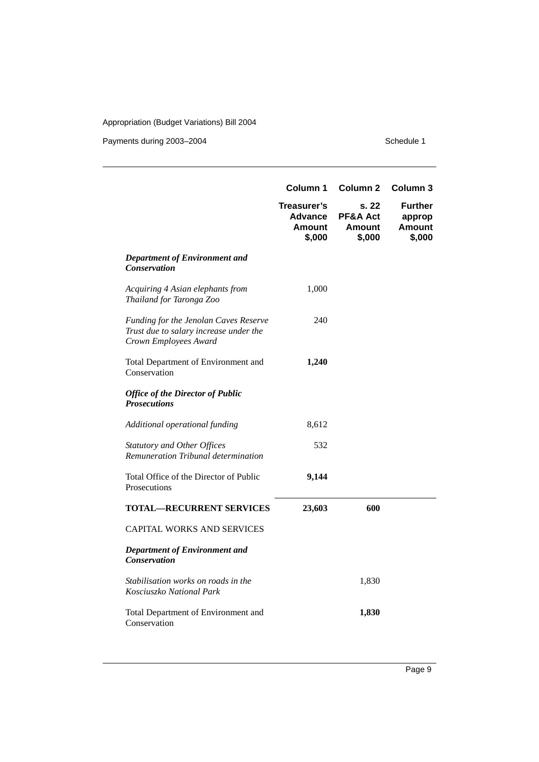Payments during 2003–2004 Schedule 1

|                                                                                                          | Column 1                                                 | Column <sub>2</sub>                          | Column <sub>3</sub>                          |
|----------------------------------------------------------------------------------------------------------|----------------------------------------------------------|----------------------------------------------|----------------------------------------------|
|                                                                                                          | Treasurer's<br><b>Advance</b><br><b>Amount</b><br>\$,000 | s. 22<br>PF&A Act<br><b>Amount</b><br>\$,000 | <b>Further</b><br>approp<br>Amount<br>\$,000 |
| <b>Department of Environment and</b><br><b>Conservation</b>                                              |                                                          |                                              |                                              |
| Acquiring 4 Asian elephants from<br>Thailand for Taronga Zoo                                             | 1,000                                                    |                                              |                                              |
| Funding for the Jenolan Caves Reserve<br>Trust due to salary increase under the<br>Crown Employees Award | 240                                                      |                                              |                                              |
| Total Department of Environment and<br>Conservation                                                      | 1,240                                                    |                                              |                                              |
| <b>Office of the Director of Public</b><br><b>Prosecutions</b>                                           |                                                          |                                              |                                              |
| Additional operational funding                                                                           | 8,612                                                    |                                              |                                              |
| <b>Statutory and Other Offices</b><br>Remuneration Tribunal determination                                | 532                                                      |                                              |                                              |
| Total Office of the Director of Public<br>Prosecutions                                                   | 9,144                                                    |                                              |                                              |
| <b>TOTAL-RECURRENT SERVICES</b>                                                                          | 23,603                                                   | 600                                          |                                              |
| <b>CAPITAL WORKS AND SERVICES</b>                                                                        |                                                          |                                              |                                              |
| <b>Department of Environment and</b><br><b>Conservation</b>                                              |                                                          |                                              |                                              |
| Stabilisation works on roads in the<br>Kosciuszko National Park                                          |                                                          | 1,830                                        |                                              |
| Total Department of Environment and<br>Conservation                                                      |                                                          | 1,830                                        |                                              |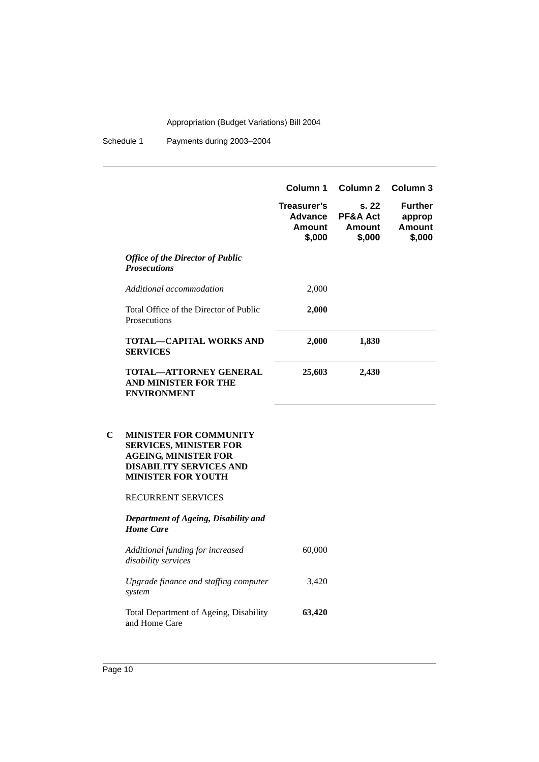|                         |                                                                                                                                                              | Column 1                                   | Column 2                              | Column 3                                            |
|-------------------------|--------------------------------------------------------------------------------------------------------------------------------------------------------------|--------------------------------------------|---------------------------------------|-----------------------------------------------------|
|                         |                                                                                                                                                              | Treasurer's<br>Advance<br>Amount<br>\$,000 | s. 22<br>PF&A Act<br>Amount<br>\$,000 | <b>Further</b><br>approp<br><b>Amount</b><br>\$,000 |
| <b>Prosecutions</b>     | <b>Office of the Director of Public</b>                                                                                                                      |                                            |                                       |                                                     |
|                         | Additional accommodation                                                                                                                                     | 2,000                                      |                                       |                                                     |
| Prosecutions            | Total Office of the Director of Public                                                                                                                       | 2,000                                      |                                       |                                                     |
| <b>SERVICES</b>         | <b>TOTAL-CAPITAL WORKS AND</b>                                                                                                                               | 2,000                                      | 1,830                                 |                                                     |
|                         | <b>TOTAL-ATTORNEY GENERAL</b><br><b>AND MINISTER FOR THE</b><br><b>ENVIRONMENT</b>                                                                           | 25,603                                     | 2,430                                 |                                                     |
| $\overline{\mathbf{C}}$ | <b>MINISTER FOR COMMUNITY</b><br><b>SERVICES, MINISTER FOR</b><br><b>AGEING, MINISTER FOR</b><br><b>DISABILITY SERVICES AND</b><br><b>MINISTER FOR YOUTH</b> |                                            |                                       |                                                     |
|                         | RECURRENT SERVICES                                                                                                                                           |                                            |                                       |                                                     |
| <b>Home Care</b>        | Department of Ageing, Disability and                                                                                                                         |                                            |                                       |                                                     |
| disability services     | Additional funding for increased                                                                                                                             | 60,000                                     |                                       |                                                     |
| system                  | Upgrade finance and staffing computer                                                                                                                        | 3,420                                      |                                       |                                                     |
| and Home Care           | Total Department of Ageing, Disability                                                                                                                       | 63,420                                     |                                       |                                                     |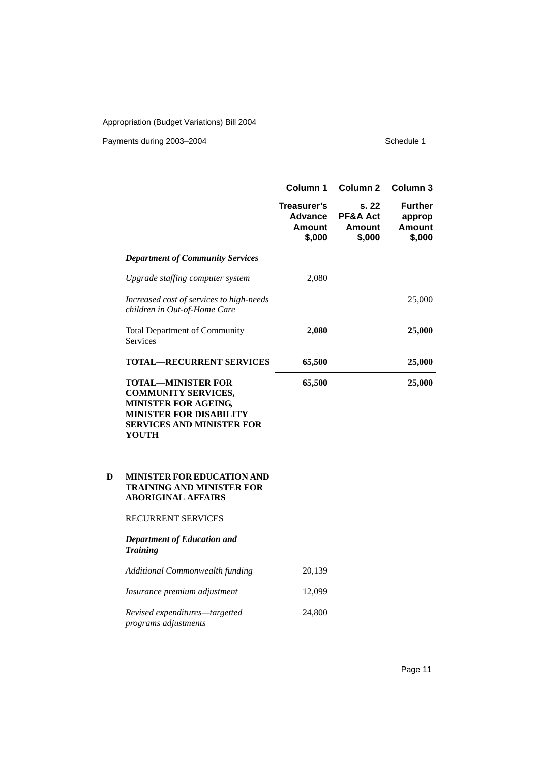Payments during 2003–2004 Schedule 1

|   |                                                                                                                                                                              | Column 1                                                 | Column <sub>2</sub>                          | Column 3                                            |
|---|------------------------------------------------------------------------------------------------------------------------------------------------------------------------------|----------------------------------------------------------|----------------------------------------------|-----------------------------------------------------|
|   |                                                                                                                                                                              | Treasurer's<br><b>Advance</b><br><b>Amount</b><br>\$,000 | s. 22<br>PF&A Act<br><b>Amount</b><br>\$,000 | <b>Further</b><br>approp<br><b>Amount</b><br>\$,000 |
|   | <b>Department of Community Services</b>                                                                                                                                      |                                                          |                                              |                                                     |
|   | Upgrade staffing computer system                                                                                                                                             | 2,080                                                    |                                              |                                                     |
|   | Increased cost of services to high-needs<br>children in Out-of-Home Care                                                                                                     |                                                          |                                              | 25,000                                              |
|   | <b>Total Department of Community</b><br><b>Services</b>                                                                                                                      | 2,080                                                    |                                              | 25,000                                              |
|   | <b>TOTAL-RECURRENT SERVICES</b>                                                                                                                                              | 65,500                                                   |                                              | 25,000                                              |
|   | <b>TOTAL-MINISTER FOR</b><br><b>COMMUNITY SERVICES,</b><br><b>MINISTER FOR AGEING,</b><br><b>MINISTER FOR DISABILITY</b><br><b>SERVICES AND MINISTER FOR</b><br><b>YOUTH</b> | 65,500                                                   |                                              | 25,000                                              |
| D | MINISTER FOR EDUCATION AND<br><b>TRAINING AND MINISTER FOR</b><br><b>ABORIGINAL AFFAIRS</b>                                                                                  |                                                          |                                              |                                                     |
|   | RECURRENT SERVICES                                                                                                                                                           |                                                          |                                              |                                                     |
|   | <b>Department of Education and</b><br><b>Training</b>                                                                                                                        |                                                          |                                              |                                                     |
|   | Additional Commonwealth funding                                                                                                                                              | 20,139                                                   |                                              |                                                     |
|   | Insurance premium adjustment                                                                                                                                                 | 12,099                                                   |                                              |                                                     |
|   | Revised expenditures-targetted                                                                                                                                               | 24,800                                                   |                                              |                                                     |

*programs adjustments*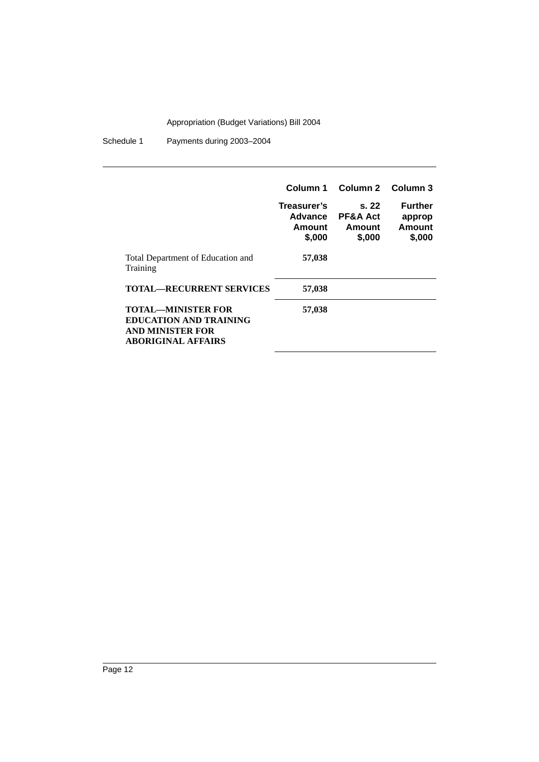|                                                                                                             | Column 1<br>Treasurer's<br><b>Advance</b><br>Amount<br>\$,000 | Column 2 Column 3<br>s.22<br><b>PF&amp;A Act</b><br>Amount<br>\$,000 | <b>Further</b><br>approp<br>Amount<br>\$,000 |
|-------------------------------------------------------------------------------------------------------------|---------------------------------------------------------------|----------------------------------------------------------------------|----------------------------------------------|
| Total Department of Education and<br>Training                                                               | 57,038                                                        |                                                                      |                                              |
| <b>TOTAL—RECURRENT SERVICES</b>                                                                             | 57,038                                                        |                                                                      |                                              |
| TOTAL—MINISTER FOR<br><b>EDUCATION AND TRAINING</b><br><b>AND MINISTER FOR</b><br><b>ABORIGINAL AFFAIRS</b> | 57,038                                                        |                                                                      |                                              |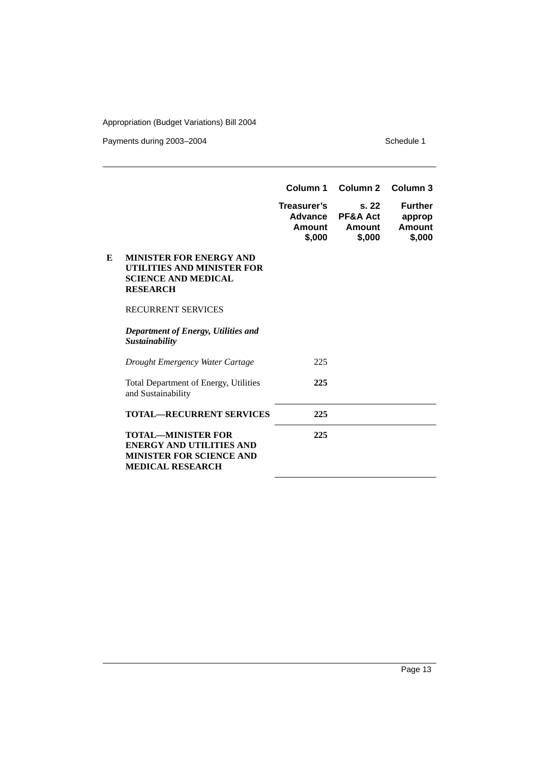Payments during 2003–2004 Schedule 1

|   |                                                                                                                            | Column 1                                   | Column 2                                        | Column 3                                     |
|---|----------------------------------------------------------------------------------------------------------------------------|--------------------------------------------|-------------------------------------------------|----------------------------------------------|
|   |                                                                                                                            | Treasurer's<br>Advance<br>Amount<br>\$,000 | s.22<br><b>PF&amp;A Act</b><br>Amount<br>\$,000 | <b>Further</b><br>approp<br>Amount<br>\$,000 |
| E | <b>MINISTER FOR ENERGY AND</b><br>UTILITIES AND MINISTER FOR<br><b>SCIENCE AND MEDICAL</b><br><b>RESEARCH</b>              |                                            |                                                 |                                              |
|   | <b>RECURRENT SERVICES</b>                                                                                                  |                                            |                                                 |                                              |
|   | Department of Energy, Utilities and<br>Sustainability                                                                      |                                            |                                                 |                                              |
|   | Drought Emergency Water Cartage                                                                                            | 225                                        |                                                 |                                              |
|   | Total Department of Energy, Utilities<br>and Sustainability                                                                | 225                                        |                                                 |                                              |
|   | <b>TOTAL—RECURRENT SERVICES</b>                                                                                            | 225                                        |                                                 |                                              |
|   | <b>TOTAL—MINISTER FOR</b><br><b>ENERGY AND UTILITIES AND</b><br><b>MINISTER FOR SCIENCE AND</b><br><b>MEDICAL RESEARCH</b> | 225                                        |                                                 |                                              |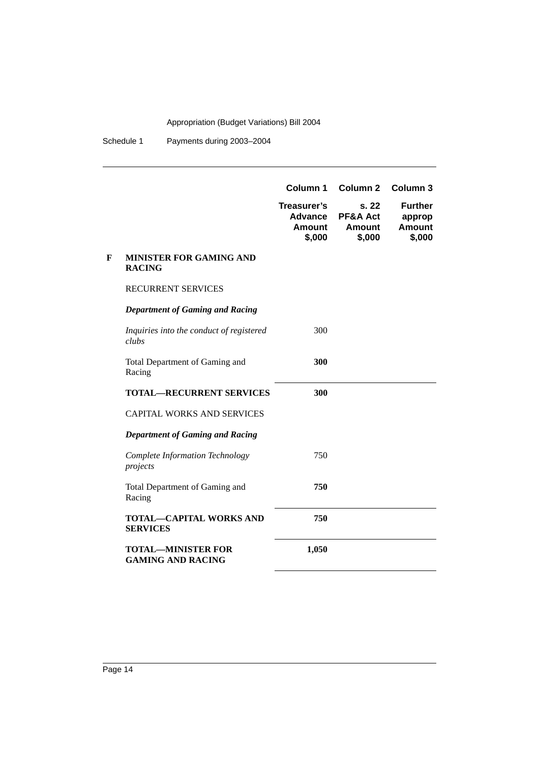|   |                                                       | Column 1<br>Treasurer's<br>Advance<br>Amount<br>\$,000 | Column <sub>2</sub><br>s. 22<br>PF&A Act<br><b>Amount</b><br>\$,000 | Column <sub>3</sub><br><b>Further</b><br>approp<br><b>Amount</b><br>\$,000 |
|---|-------------------------------------------------------|--------------------------------------------------------|---------------------------------------------------------------------|----------------------------------------------------------------------------|
| F | <b>MINISTER FOR GAMING AND</b><br><b>RACING</b>       |                                                        |                                                                     |                                                                            |
|   | RECURRENT SERVICES                                    |                                                        |                                                                     |                                                                            |
|   | <b>Department of Gaming and Racing</b>                |                                                        |                                                                     |                                                                            |
|   | Inquiries into the conduct of registered<br>clubs     | 300                                                    |                                                                     |                                                                            |
|   | Total Department of Gaming and<br>Racing              | 300                                                    |                                                                     |                                                                            |
|   | <b>TOTAL-RECURRENT SERVICES</b>                       | 300                                                    |                                                                     |                                                                            |
|   | <b>CAPITAL WORKS AND SERVICES</b>                     |                                                        |                                                                     |                                                                            |
|   | <b>Department of Gaming and Racing</b>                |                                                        |                                                                     |                                                                            |
|   | Complete Information Technology<br>projects           | 750                                                    |                                                                     |                                                                            |
|   | Total Department of Gaming and<br>Racing              | 750                                                    |                                                                     |                                                                            |
|   | <b>TOTAL-CAPITAL WORKS AND</b><br><b>SERVICES</b>     | 750                                                    |                                                                     |                                                                            |
|   | <b>TOTAL-MINISTER FOR</b><br><b>GAMING AND RACING</b> | 1,050                                                  |                                                                     |                                                                            |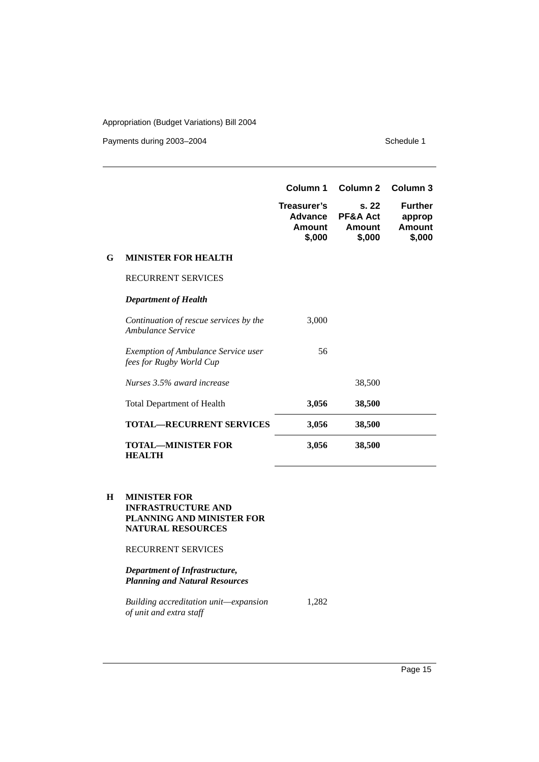Payments during 2003-2004 Schedule 1

|   |                                                                        | Column 1                                          | Column <sub>2</sub>                   | Column 3                                     |
|---|------------------------------------------------------------------------|---------------------------------------------------|---------------------------------------|----------------------------------------------|
|   |                                                                        | Treasurer's<br><b>Advance</b><br>Amount<br>\$,000 | S. 22<br>PF&A Act<br>Amount<br>\$,000 | <b>Further</b><br>approp<br>Amount<br>\$,000 |
| G | <b>MINISTER FOR HEALTH</b>                                             |                                                   |                                       |                                              |
|   | <b>RECURRENT SERVICES</b>                                              |                                                   |                                       |                                              |
|   | <b>Department of Health</b>                                            |                                                   |                                       |                                              |
|   | Continuation of rescue services by the<br>Ambulance Service            | 3,000                                             |                                       |                                              |
|   | <b>Exemption of Ambulance Service user</b><br>fees for Rugby World Cup | 56                                                |                                       |                                              |
|   | Nurses 3.5% award increase                                             |                                                   | 38,500                                |                                              |
|   | <b>Total Department of Health</b>                                      | 3,056                                             | 38,500                                |                                              |
|   | <b>TOTAL—RECURRENT SERVICES</b>                                        | 3,056                                             | 38,500                                |                                              |
|   | TOTAL—MINISTER FOR<br><b>HEALTH</b>                                    | 3,056                                             | 38,500                                |                                              |

**H MINISTER FOR INFRASTRUCTURE AND PLANNING AND MINISTER FOR NATURAL RESOURCES**

RECURRENT SERVICES

*Department of Infrastructure, Planning and Natural Resources*

*Building accreditation unit—expansion of unit and extra staff* 1,282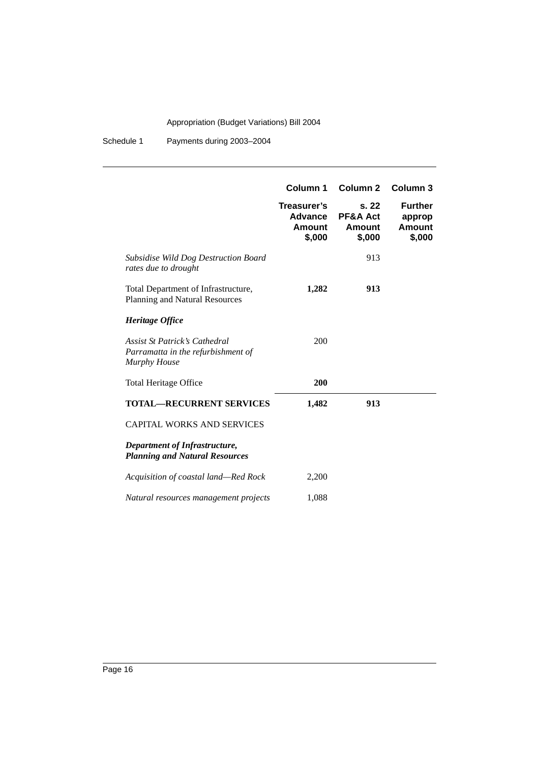|                                                                                            | Column 1<br>Treasurer's     | Column <sub>2</sub><br>s.22             | Column 3<br><b>Further</b> |
|--------------------------------------------------------------------------------------------|-----------------------------|-----------------------------------------|----------------------------|
|                                                                                            | Advance<br>Amount<br>\$,000 | <b>PF&amp;A Act</b><br>Amount<br>\$,000 | approp<br>Amount<br>\$,000 |
| <b>Subsidise Wild Dog Destruction Board</b><br>rates due to drought                        |                             | 913                                     |                            |
| Total Department of Infrastructure,<br>Planning and Natural Resources                      | 1,282                       | 913                                     |                            |
| Heritage Office                                                                            |                             |                                         |                            |
| Assist St Patrick's Cathedral<br>Parramatta in the refurbishment of<br><b>Murphy House</b> | 200                         |                                         |                            |
| <b>Total Heritage Office</b>                                                               | 200                         |                                         |                            |
| <b>TOTAL-RECURRENT SERVICES</b>                                                            | 1,482                       | 913                                     |                            |
| <b>CAPITAL WORKS AND SERVICES</b>                                                          |                             |                                         |                            |
| Department of Infrastructure,<br><b>Planning and Natural Resources</b>                     |                             |                                         |                            |
| Acquisition of coastal land—Red Rock                                                       | 2,200                       |                                         |                            |
| Natural resources management projects                                                      | 1,088                       |                                         |                            |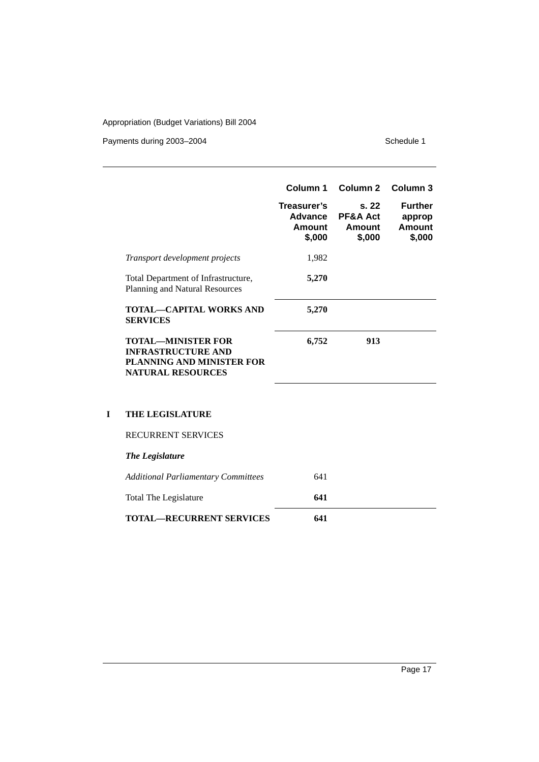Payments during 2003–2004 Schedule 1

|                                                                                                                 | Column 1                                   | Column 2                                        | Column 3                                            |
|-----------------------------------------------------------------------------------------------------------------|--------------------------------------------|-------------------------------------------------|-----------------------------------------------------|
|                                                                                                                 | Treasurer's<br>Advance<br>Amount<br>\$,000 | s.22<br><b>PF&amp;A Act</b><br>Amount<br>\$,000 | <b>Further</b><br>approp<br><b>Amount</b><br>\$,000 |
| <i>Transport development projects</i>                                                                           | 1,982                                      |                                                 |                                                     |
| Total Department of Infrastructure,<br>Planning and Natural Resources                                           | 5,270                                      |                                                 |                                                     |
| <b>TOTAL—CAPITAL WORKS AND</b><br><b>SERVICES</b>                                                               | 5,270                                      |                                                 |                                                     |
| <b>TOTAL—MINISTER FOR</b><br><b>INFRASTRUCTURE AND</b><br>PLANNING AND MINISTER FOR<br><b>NATURAL RESOURCES</b> | 6,752                                      | 913                                             |                                                     |

### **I THE LEGISLATURE**

RECURRENT SERVICES

| The Legislature |  |
|-----------------|--|
|                 |  |

| Additional Parliamentary Committees | 641 |  |
|-------------------------------------|-----|--|
| Total The Legislature               | 641 |  |
| <b>TOTAL—RECURRENT SERVICES</b>     | 641 |  |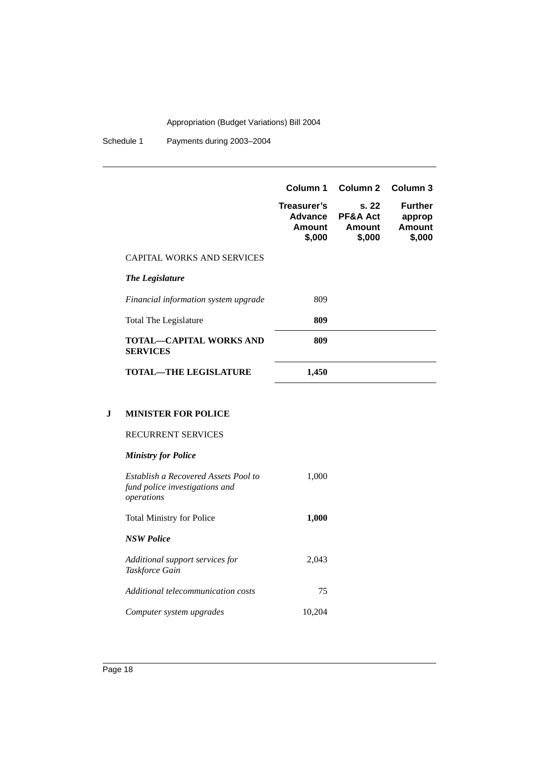Schedule 1 Payments during 2003–2004

|                                            | Column 1                                   | Column 2 Column 3                               |                                              |
|--------------------------------------------|--------------------------------------------|-------------------------------------------------|----------------------------------------------|
|                                            | Treasurer's<br>Advance<br>Amount<br>\$,000 | s.22<br><b>PF&amp;A Act</b><br>Amount<br>\$,000 | <b>Further</b><br>approp<br>Amount<br>\$,000 |
| CAPITAL WORKS AND SERVICES                 |                                            |                                                 |                                              |
| The Legislature                            |                                            |                                                 |                                              |
| Financial information system upgrade       | 809                                        |                                                 |                                              |
| Total The Legislature                      | 809                                        |                                                 |                                              |
| TOTAL—CAPITAL WORKS AND<br><b>SERVICES</b> | 809                                        |                                                 |                                              |
| TOTAL—THE LEGISLATURE                      | 1,450                                      |                                                 |                                              |

### **J MINISTER FOR POLICE**

### *Ministry for Police*

| Establish a Recovered Assets Pool to<br>fund police investigations and<br>operations | 1,000  |
|--------------------------------------------------------------------------------------|--------|
| <b>Total Ministry for Police</b>                                                     | 1,000  |
| <b>NSW Police</b>                                                                    |        |
| Additional support services for<br>Taskforce Gain                                    | 2.043  |
| Additional telecommunication costs                                                   | 75     |
| Computer system upgrades                                                             | 10,204 |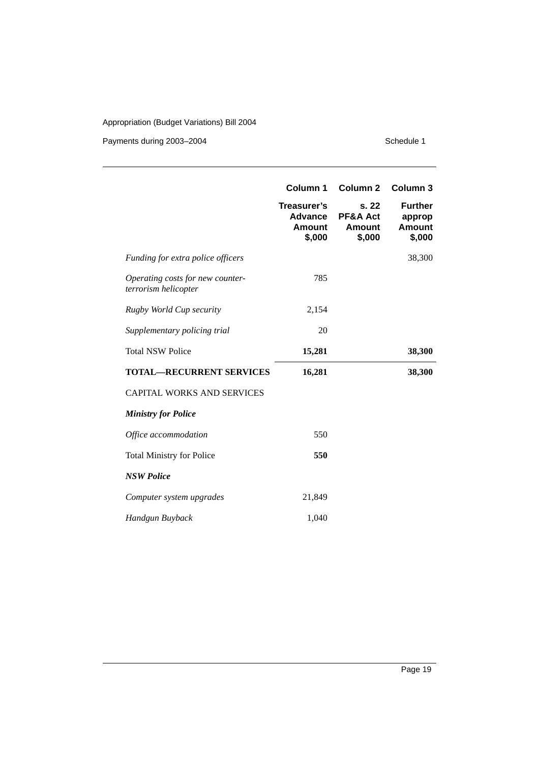Payments during 2003-2004 Schedule 1

|                                                          | Column 1                                   | Column 2                                                | Column 3                                     |
|----------------------------------------------------------|--------------------------------------------|---------------------------------------------------------|----------------------------------------------|
|                                                          | Treasurer's<br>Advance<br>Amount<br>\$,000 | s. 22<br><b>PF&amp;A Act</b><br><b>Amount</b><br>\$,000 | <b>Further</b><br>approp<br>Amount<br>\$,000 |
| Funding for extra police officers                        |                                            |                                                         | 38,300                                       |
| Operating costs for new counter-<br>terrorism helicopter | 785                                        |                                                         |                                              |
| Rugby World Cup security                                 | 2,154                                      |                                                         |                                              |
| Supplementary policing trial                             | 20                                         |                                                         |                                              |
| <b>Total NSW Police</b>                                  | 15,281                                     |                                                         | 38,300                                       |
| <b>TOTAL-RECURRENT SERVICES</b>                          | 16,281                                     |                                                         | 38,300                                       |
| <b>CAPITAL WORKS AND SERVICES</b>                        |                                            |                                                         |                                              |
| <b>Ministry for Police</b>                               |                                            |                                                         |                                              |
| Office accommodation                                     | 550                                        |                                                         |                                              |
| <b>Total Ministry for Police</b>                         | 550                                        |                                                         |                                              |
| <b>NSW Police</b>                                        |                                            |                                                         |                                              |
| Computer system upgrades                                 | 21,849                                     |                                                         |                                              |
| Handgun Buyback                                          | 1,040                                      |                                                         |                                              |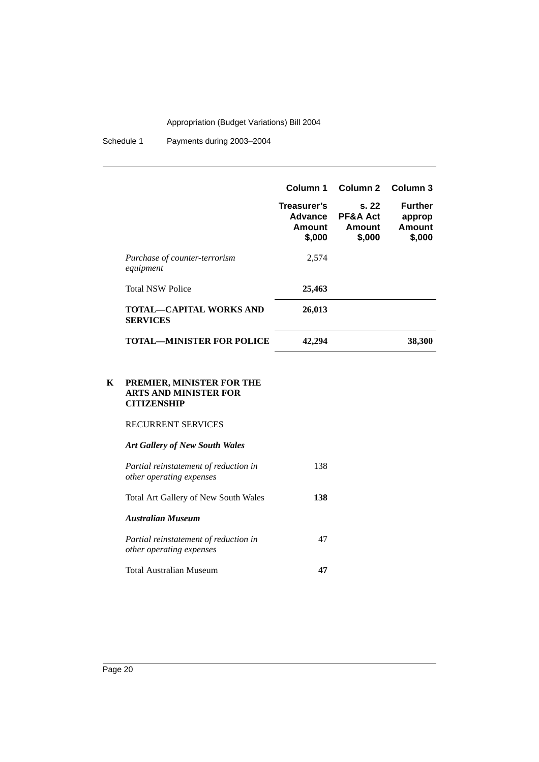|   |                                                                                 | Column 1                                                 | Column 2                                     | Column <sub>3</sub>                                 |
|---|---------------------------------------------------------------------------------|----------------------------------------------------------|----------------------------------------------|-----------------------------------------------------|
|   |                                                                                 | Treasurer's<br><b>Advance</b><br><b>Amount</b><br>\$,000 | s. 22<br>PF&A Act<br><b>Amount</b><br>\$,000 | <b>Further</b><br>approp<br><b>Amount</b><br>\$,000 |
|   | Purchase of counter-terrorism<br>equipment                                      | 2,574                                                    |                                              |                                                     |
|   | <b>Total NSW Police</b>                                                         | 25,463                                                   |                                              |                                                     |
|   | <b>TOTAL-CAPITAL WORKS AND</b><br><b>SERVICES</b>                               | 26,013                                                   |                                              |                                                     |
|   | <b>TOTAL—MINISTER FOR POLICE</b>                                                | 42,294                                                   |                                              | 38,300                                              |
| K | PREMIER, MINISTER FOR THE<br><b>ARTS AND MINISTER FOR</b><br><b>CITIZENSHIP</b> |                                                          |                                              |                                                     |
|   | <b>RECURRENT SERVICES</b>                                                       |                                                          |                                              |                                                     |
|   | <b>Art Gallery of New South Wales</b>                                           |                                                          |                                              |                                                     |
|   | Partial reinstatement of reduction in<br>other operating expenses               | 138                                                      |                                              |                                                     |
|   | Total Art Gallery of New South Wales                                            | 138                                                      |                                              |                                                     |
|   | <b>Australian Museum</b>                                                        |                                                          |                                              |                                                     |
|   | Partial reinstatement of reduction in<br>other operating expenses               | 47                                                       |                                              |                                                     |
|   | <b>Total Australian Museum</b>                                                  | 47                                                       |                                              |                                                     |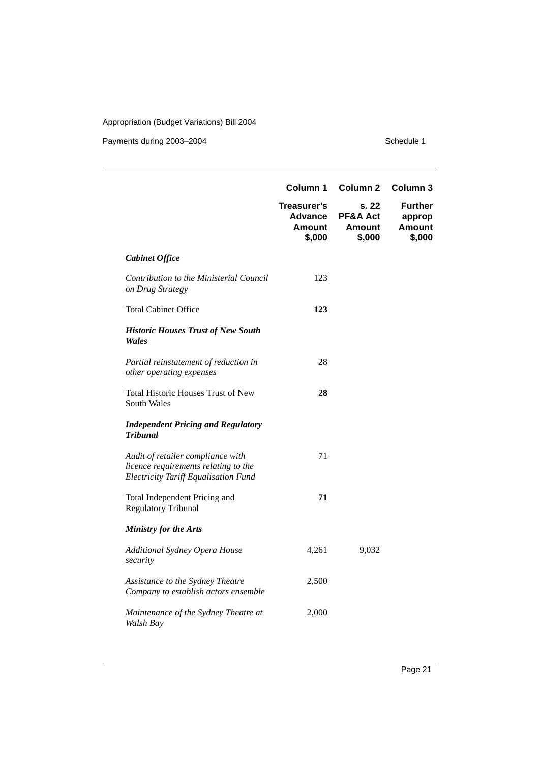Payments during 2003-2004 Schedule 1

| Column 1                        | Column <sub>2</sub>                          | Column <sub>3</sub>                                 |
|---------------------------------|----------------------------------------------|-----------------------------------------------------|
| Treasurer's<br>Amount<br>\$,000 | s. 22<br>PF&A Act<br><b>Amount</b><br>\$,000 | <b>Further</b><br>approp<br><b>Amount</b><br>\$,000 |
|                                 |                                              |                                                     |
| 123                             |                                              |                                                     |
| 123                             |                                              |                                                     |
|                                 |                                              |                                                     |
| 28                              |                                              |                                                     |
| 28                              |                                              |                                                     |
|                                 |                                              |                                                     |
| 71                              |                                              |                                                     |
| 71                              |                                              |                                                     |
|                                 |                                              |                                                     |
| 4,261                           | 9,032                                        |                                                     |
| 2,500                           |                                              |                                                     |
| 2,000                           |                                              |                                                     |
|                                 |                                              | Advance                                             |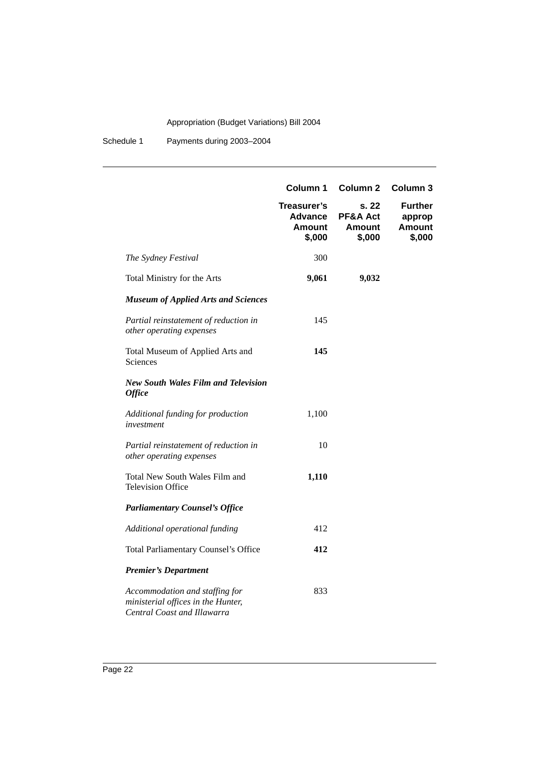|                                                                                                     | Column 1                                          | Column <sub>2</sub>                          | Column 3                                            |
|-----------------------------------------------------------------------------------------------------|---------------------------------------------------|----------------------------------------------|-----------------------------------------------------|
|                                                                                                     | Treasurer's<br><b>Advance</b><br>Amount<br>\$,000 | s. 22<br>PF&A Act<br><b>Amount</b><br>\$,000 | <b>Further</b><br>approp<br><b>Amount</b><br>\$,000 |
| The Sydney Festival                                                                                 | 300                                               |                                              |                                                     |
| Total Ministry for the Arts                                                                         | 9,061                                             | 9,032                                        |                                                     |
| <b>Museum of Applied Arts and Sciences</b>                                                          |                                                   |                                              |                                                     |
| Partial reinstatement of reduction in<br>other operating expenses                                   | 145                                               |                                              |                                                     |
| Total Museum of Applied Arts and<br>Sciences                                                        | 145                                               |                                              |                                                     |
| <b>New South Wales Film and Television</b><br><b>Office</b>                                         |                                                   |                                              |                                                     |
| Additional funding for production<br>investment                                                     | 1,100                                             |                                              |                                                     |
| Partial reinstatement of reduction in<br>other operating expenses                                   | 10                                                |                                              |                                                     |
| Total New South Wales Film and<br><b>Television Office</b>                                          | 1,110                                             |                                              |                                                     |
| <b>Parliamentary Counsel's Office</b>                                                               |                                                   |                                              |                                                     |
| Additional operational funding                                                                      | 412                                               |                                              |                                                     |
| Total Parliamentary Counsel's Office                                                                | 412                                               |                                              |                                                     |
| <b>Premier's Department</b>                                                                         |                                                   |                                              |                                                     |
| Accommodation and staffing for<br>ministerial offices in the Hunter,<br>Central Coast and Illawarra | 833                                               |                                              |                                                     |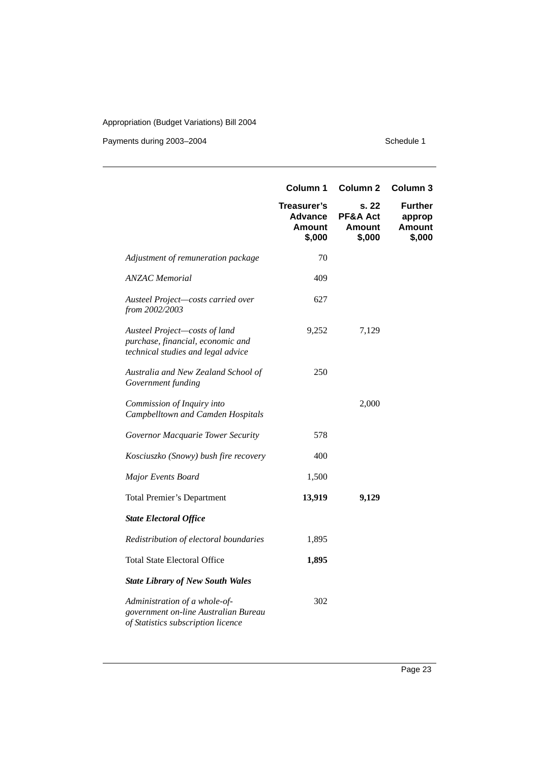Payments during 2003-2004 Schedule 1

|                                                                                                             | Column 1                                                 | Column <sub>2</sub>                          | Column 3                                            |
|-------------------------------------------------------------------------------------------------------------|----------------------------------------------------------|----------------------------------------------|-----------------------------------------------------|
|                                                                                                             | Treasurer's<br><b>Advance</b><br><b>Amount</b><br>\$,000 | s. 22<br>PF&A Act<br><b>Amount</b><br>\$,000 | <b>Further</b><br>approp<br><b>Amount</b><br>\$,000 |
| Adjustment of remuneration package                                                                          | 70                                                       |                                              |                                                     |
| <b>ANZAC</b> Memorial                                                                                       | 409                                                      |                                              |                                                     |
| Austeel Project-costs carried over<br>from 2002/2003                                                        | 627                                                      |                                              |                                                     |
| Austeel Project-costs of land<br>purchase, financial, economic and<br>technical studies and legal advice    | 9,252                                                    | 7,129                                        |                                                     |
| Australia and New Zealand School of<br>Government funding                                                   | 250                                                      |                                              |                                                     |
| Commission of Inquiry into<br>Campbelltown and Camden Hospitals                                             |                                                          | 2,000                                        |                                                     |
| Governor Macquarie Tower Security                                                                           | 578                                                      |                                              |                                                     |
| Kosciuszko (Snowy) bush fire recovery                                                                       | 400                                                      |                                              |                                                     |
| Major Events Board                                                                                          | 1,500                                                    |                                              |                                                     |
| <b>Total Premier's Department</b>                                                                           | 13,919                                                   | 9,129                                        |                                                     |
| <b>State Electoral Office</b>                                                                               |                                                          |                                              |                                                     |
| Redistribution of electoral boundaries                                                                      | 1,895                                                    |                                              |                                                     |
| <b>Total State Electoral Office</b>                                                                         | 1,895                                                    |                                              |                                                     |
| <b>State Library of New South Wales</b>                                                                     |                                                          |                                              |                                                     |
| Administration of a whole-of-<br>government on-line Australian Bureau<br>of Statistics subscription licence | 302                                                      |                                              |                                                     |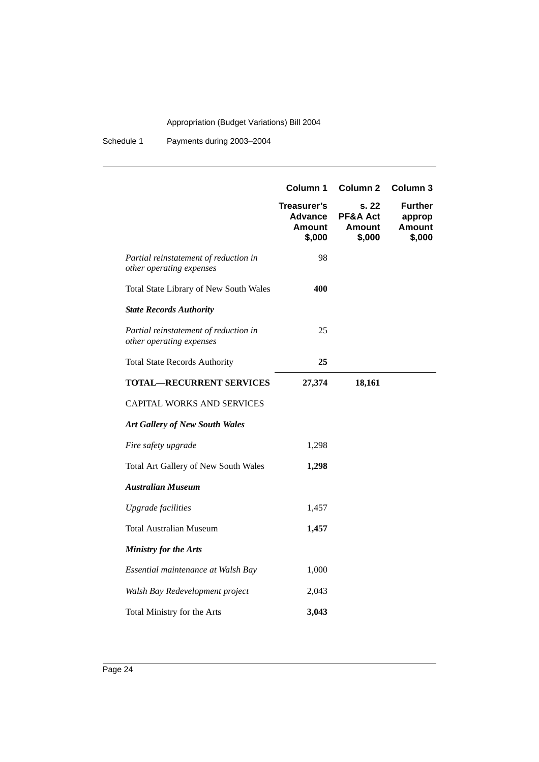|                                                                   | Column 1                                   | Column <sub>2</sub>                          | Column 3                                            |
|-------------------------------------------------------------------|--------------------------------------------|----------------------------------------------|-----------------------------------------------------|
|                                                                   | Treasurer's<br>Advance<br>Amount<br>\$,000 | s. 22<br>PF&A Act<br><b>Amount</b><br>\$,000 | <b>Further</b><br>approp<br><b>Amount</b><br>\$,000 |
| Partial reinstatement of reduction in<br>other operating expenses | 98                                         |                                              |                                                     |
| Total State Library of New South Wales                            | 400                                        |                                              |                                                     |
| <b>State Records Authority</b>                                    |                                            |                                              |                                                     |
| Partial reinstatement of reduction in<br>other operating expenses | 25                                         |                                              |                                                     |
| <b>Total State Records Authority</b>                              | 25                                         |                                              |                                                     |
| <b>TOTAL-RECURRENT SERVICES</b>                                   | 27,374                                     | 18,161                                       |                                                     |
| CAPITAL WORKS AND SERVICES                                        |                                            |                                              |                                                     |
| <b>Art Gallery of New South Wales</b>                             |                                            |                                              |                                                     |
| Fire safety upgrade                                               | 1,298                                      |                                              |                                                     |
| Total Art Gallery of New South Wales                              | 1,298                                      |                                              |                                                     |
| <b>Australian Museum</b>                                          |                                            |                                              |                                                     |
| <b>Upgrade</b> facilities                                         | 1,457                                      |                                              |                                                     |
| <b>Total Australian Museum</b>                                    | 1,457                                      |                                              |                                                     |
| <b>Ministry for the Arts</b>                                      |                                            |                                              |                                                     |
| Essential maintenance at Walsh Bay                                | 1,000                                      |                                              |                                                     |
| Walsh Bay Redevelopment project                                   | 2,043                                      |                                              |                                                     |
| Total Ministry for the Arts                                       | 3,043                                      |                                              |                                                     |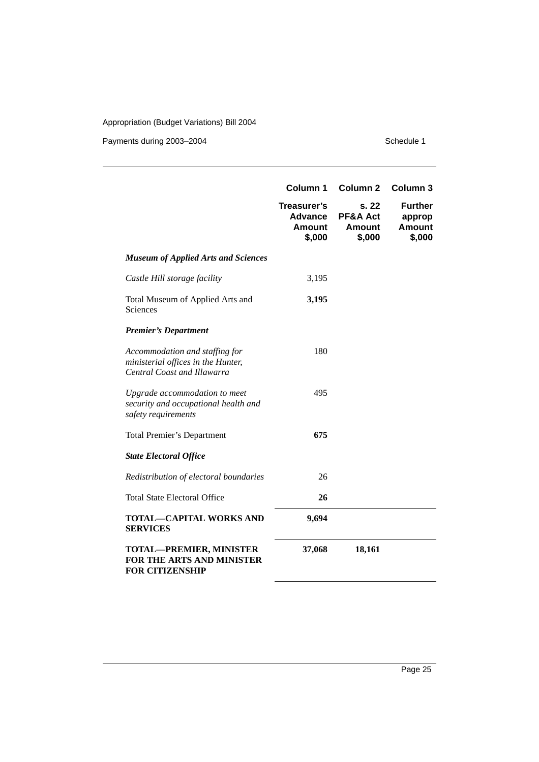Payments during 2003-2004 Schedule 1

|                                                                                                     | Column 1                                                 | Column <sub>2</sub>                          | Column <sub>3</sub>                                 |
|-----------------------------------------------------------------------------------------------------|----------------------------------------------------------|----------------------------------------------|-----------------------------------------------------|
|                                                                                                     | Treasurer's<br><b>Advance</b><br><b>Amount</b><br>\$,000 | s. 22<br>PF&A Act<br><b>Amount</b><br>\$,000 | <b>Further</b><br>approp<br><b>Amount</b><br>\$,000 |
| <b>Museum of Applied Arts and Sciences</b>                                                          |                                                          |                                              |                                                     |
| Castle Hill storage facility                                                                        | 3,195                                                    |                                              |                                                     |
| Total Museum of Applied Arts and<br>Sciences                                                        | 3,195                                                    |                                              |                                                     |
| <b>Premier's Department</b>                                                                         |                                                          |                                              |                                                     |
| Accommodation and staffing for<br>ministerial offices in the Hunter,<br>Central Coast and Illawarra | 180                                                      |                                              |                                                     |
| Upgrade accommodation to meet<br>security and occupational health and<br>safety requirements        | 495                                                      |                                              |                                                     |
| <b>Total Premier's Department</b>                                                                   | 675                                                      |                                              |                                                     |
| <b>State Electoral Office</b>                                                                       |                                                          |                                              |                                                     |
| Redistribution of electoral boundaries                                                              | 26                                                       |                                              |                                                     |
| <b>Total State Electoral Office</b>                                                                 | 26                                                       |                                              |                                                     |
| TOTAL—CAPITAL WORKS AND<br><b>SERVICES</b>                                                          | 9,694                                                    |                                              |                                                     |
| <b>TOTAL-PREMIER, MINISTER</b><br>FOR THE ARTS AND MINISTER<br><b>FOR CITIZENSHIP</b>               | 37,068                                                   | 18,161                                       |                                                     |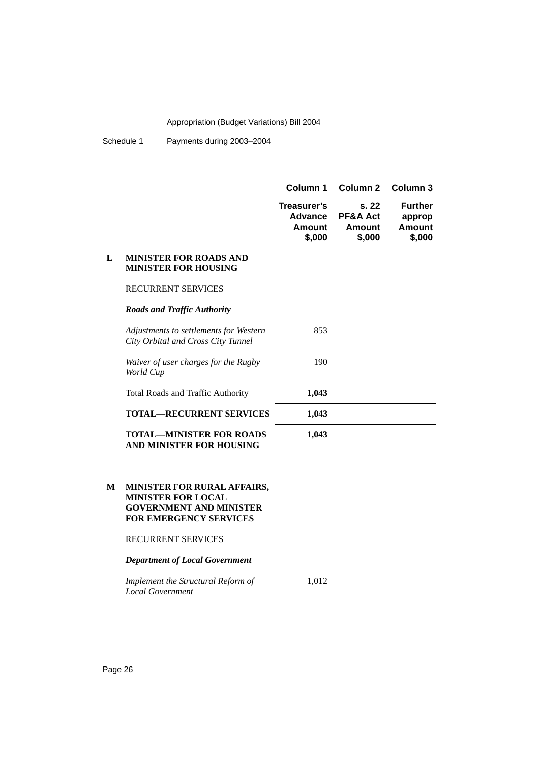Schedule 1 Payments during 2003–2004

|   |                                                                              | Column 1                                   | Column <sub>2</sub>                             | Column 3                                     |
|---|------------------------------------------------------------------------------|--------------------------------------------|-------------------------------------------------|----------------------------------------------|
|   |                                                                              | Treasurer's<br>Advance<br>Amount<br>\$,000 | s.22<br><b>PF&amp;A Act</b><br>Amount<br>\$,000 | <b>Further</b><br>approp<br>Amount<br>\$,000 |
| L | <b>MINISTER FOR ROADS AND</b><br><b>MINISTER FOR HOUSING</b>                 |                                            |                                                 |                                              |
|   | <b>RECURRENT SERVICES</b>                                                    |                                            |                                                 |                                              |
|   | <b>Roads and Traffic Authority</b>                                           |                                            |                                                 |                                              |
|   | Adjustments to settlements for Western<br>City Orbital and Cross City Tunnel | 853                                        |                                                 |                                              |
|   | Waiver of user charges for the Rugby<br>World Cup                            | 190                                        |                                                 |                                              |
|   | <b>Total Roads and Traffic Authority</b>                                     | 1,043                                      |                                                 |                                              |
|   | <b>TOTAL—RECURRENT SERVICES</b>                                              | 1,043                                      |                                                 |                                              |
|   | <b>TOTAL—MINISTER FOR ROADS</b><br>AND MINISTER FOR HOUSING                  | 1,043                                      |                                                 |                                              |

#### **M MINISTER FOR RURAL AFFAIRS, MINISTER FOR LOCAL GOVERNMENT AND MINISTER FOR EMERGENCY SERVICES**

RECURRENT SERVICES

*Department of Local Government*

*Implement the Structural Reform of Local Government* 1,012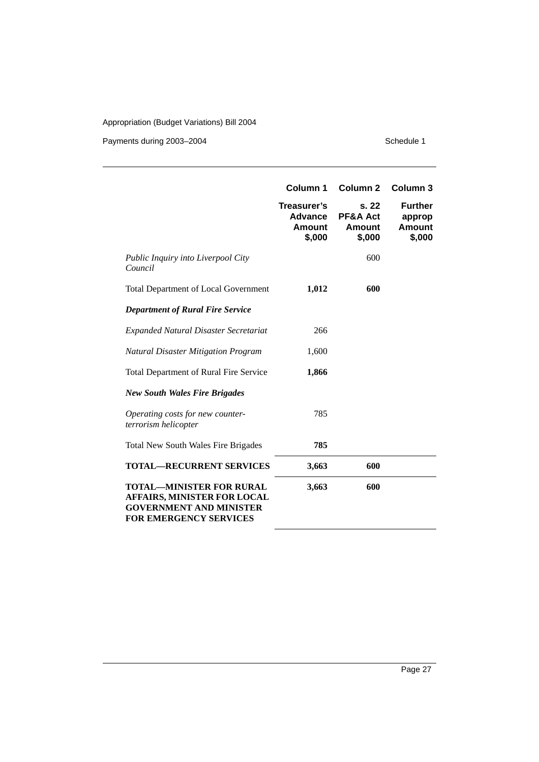Payments during 2003-2004 Schedule 1

|                                                                                                                                   | Column 1                                                 | Column <sub>2</sub>                                     | Column <sub>3</sub>                          |
|-----------------------------------------------------------------------------------------------------------------------------------|----------------------------------------------------------|---------------------------------------------------------|----------------------------------------------|
|                                                                                                                                   | Treasurer's<br><b>Advance</b><br><b>Amount</b><br>\$,000 | s. 22<br><b>PF&amp;A Act</b><br><b>Amount</b><br>\$,000 | <b>Further</b><br>approp<br>Amount<br>\$,000 |
| <i>Public Inquiry into Liverpool City</i><br>Council                                                                              |                                                          | 600                                                     |                                              |
| <b>Total Department of Local Government</b>                                                                                       | 1,012                                                    | 600                                                     |                                              |
| <b>Department of Rural Fire Service</b>                                                                                           |                                                          |                                                         |                                              |
| <b>Expanded Natural Disaster Secretariat</b>                                                                                      | 266                                                      |                                                         |                                              |
| <b>Natural Disaster Mitigation Program</b>                                                                                        | 1,600                                                    |                                                         |                                              |
| Total Department of Rural Fire Service                                                                                            | 1,866                                                    |                                                         |                                              |
| <b>New South Wales Fire Brigades</b>                                                                                              |                                                          |                                                         |                                              |
| Operating costs for new counter-<br>terrorism helicopter                                                                          | 785                                                      |                                                         |                                              |
| <b>Total New South Wales Fire Brigades</b>                                                                                        | 785                                                      |                                                         |                                              |
| <b>TOTAL-RECURRENT SERVICES</b>                                                                                                   | 3,663                                                    | 600                                                     |                                              |
| <b>TOTAL-MINISTER FOR RURAL</b><br>AFFAIRS, MINISTER FOR LOCAL<br><b>GOVERNMENT AND MINISTER</b><br><b>FOR EMERGENCY SERVICES</b> | 3,663                                                    | 600                                                     |                                              |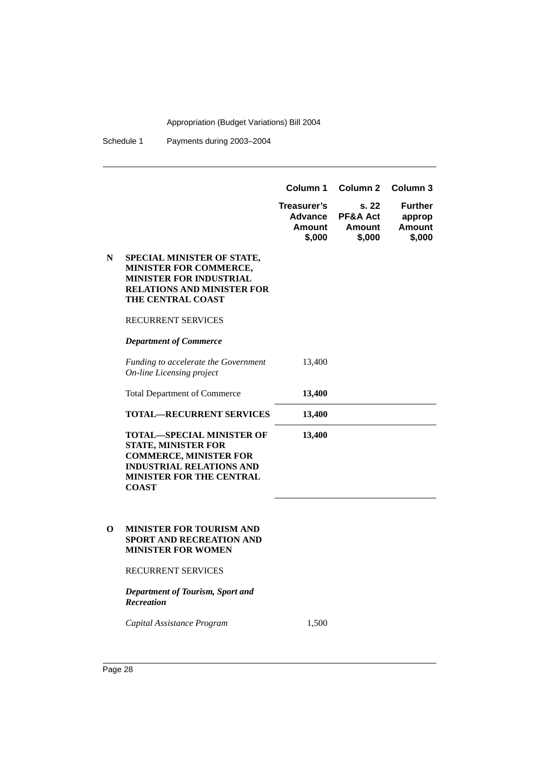|   |                                                                                                                                                                                       | Column 1<br>Treasurer's<br><b>Advance</b><br><b>Amount</b><br>\$,000 | Column <sub>2</sub><br>s. 22<br>PF&A Act<br><b>Amount</b><br>\$,000 | Column <sub>3</sub><br><b>Further</b><br>approp<br><b>Amount</b><br>\$,000 |
|---|---------------------------------------------------------------------------------------------------------------------------------------------------------------------------------------|----------------------------------------------------------------------|---------------------------------------------------------------------|----------------------------------------------------------------------------|
| N | SPECIAL MINISTER OF STATE,<br>MINISTER FOR COMMERCE,<br><b>MINISTER FOR INDUSTRIAL</b><br><b>RELATIONS AND MINISTER FOR</b><br>THE CENTRAL COAST                                      |                                                                      |                                                                     |                                                                            |
|   | <b>RECURRENT SERVICES</b>                                                                                                                                                             |                                                                      |                                                                     |                                                                            |
|   | <b>Department of Commerce</b>                                                                                                                                                         |                                                                      |                                                                     |                                                                            |
|   | Funding to accelerate the Government<br><b>On-line Licensing project</b>                                                                                                              | 13,400                                                               |                                                                     |                                                                            |
|   | <b>Total Department of Commerce</b>                                                                                                                                                   | 13,400                                                               |                                                                     |                                                                            |
|   | <b>TOTAL—RECURRENT SERVICES</b>                                                                                                                                                       | 13,400                                                               |                                                                     |                                                                            |
|   | <b>TOTAL-SPECIAL MINISTER OF</b><br><b>STATE, MINISTER FOR</b><br><b>COMMERCE, MINISTER FOR</b><br><b>INDUSTRIAL RELATIONS AND</b><br><b>MINISTER FOR THE CENTRAL</b><br><b>COAST</b> | 13,400                                                               |                                                                     |                                                                            |
| 0 | <b>MINISTER FOR TOURISM AND</b><br>SPORT AND RECREATION AND<br><b>MINISTER FOR WOMEN</b>                                                                                              |                                                                      |                                                                     |                                                                            |
|   | <b>RECURRENT SERVICES</b>                                                                                                                                                             |                                                                      |                                                                     |                                                                            |
|   | Department of Tourism, Sport and<br><b>Recreation</b>                                                                                                                                 |                                                                      |                                                                     |                                                                            |
|   | Capital Assistance Program                                                                                                                                                            | 1,500                                                                |                                                                     |                                                                            |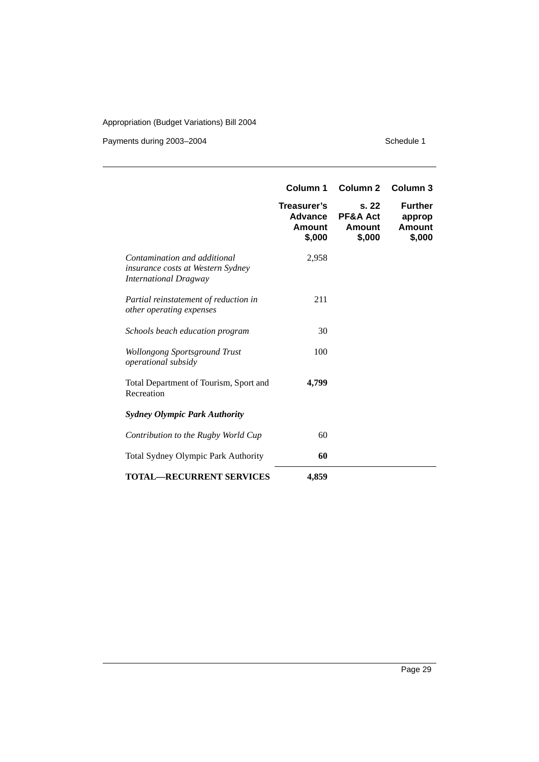#### Payments during 2003-2004 Schedule 1

|                                                                                                          | Column <sub>1</sub><br>Treasurer's<br>Advance<br><b>Amount</b><br>\$,000 | Column <sub>2</sub><br>s.22<br><b>PF&amp;A Act</b><br>Amount<br>\$,000 | Column 3<br><b>Further</b><br>approp<br><b>Amount</b><br>\$,000 |
|----------------------------------------------------------------------------------------------------------|--------------------------------------------------------------------------|------------------------------------------------------------------------|-----------------------------------------------------------------|
| Contamination and additional<br><i>insurance costs at Western Sydney</i><br><b>International Dragway</b> | 2,958                                                                    |                                                                        |                                                                 |
| Partial reinstatement of reduction in<br>other operating expenses                                        | 211                                                                      |                                                                        |                                                                 |
| Schools beach education program                                                                          | 30                                                                       |                                                                        |                                                                 |
| <b>Wollongong Sportsground Trust</b><br>operational subsidy                                              | 100                                                                      |                                                                        |                                                                 |
| Total Department of Tourism, Sport and<br>Recreation                                                     | 4,799                                                                    |                                                                        |                                                                 |
| <b>Sydney Olympic Park Authority</b>                                                                     |                                                                          |                                                                        |                                                                 |
| Contribution to the Rugby World Cup                                                                      | 60                                                                       |                                                                        |                                                                 |
| <b>Total Sydney Olympic Park Authority</b>                                                               | 60                                                                       |                                                                        |                                                                 |
| <b>TOTAL—RECURRENT SERVICES</b>                                                                          | 4,859                                                                    |                                                                        |                                                                 |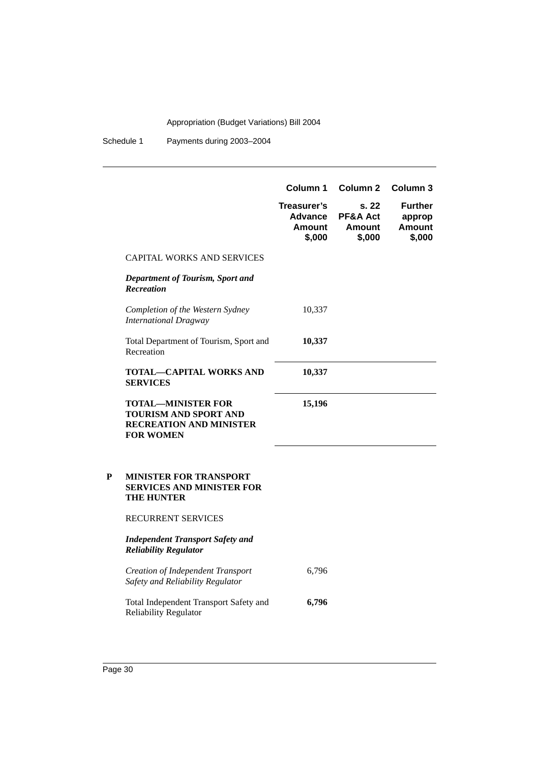|   |                                                                                                                 | Column 1                                                 | Column <sub>2</sub>                          | Column 3                                            |
|---|-----------------------------------------------------------------------------------------------------------------|----------------------------------------------------------|----------------------------------------------|-----------------------------------------------------|
|   |                                                                                                                 | Treasurer's<br><b>Advance</b><br><b>Amount</b><br>\$,000 | s. 22<br>PF&A Act<br><b>Amount</b><br>\$,000 | <b>Further</b><br>approp<br><b>Amount</b><br>\$,000 |
|   | <b>CAPITAL WORKS AND SERVICES</b>                                                                               |                                                          |                                              |                                                     |
|   | Department of Tourism, Sport and<br><b>Recreation</b>                                                           |                                                          |                                              |                                                     |
|   | Completion of the Western Sydney<br><b>International Dragway</b>                                                | 10,337                                                   |                                              |                                                     |
|   | Total Department of Tourism, Sport and<br>Recreation                                                            | 10,337                                                   |                                              |                                                     |
|   | TOTAL—CAPITAL WORKS AND<br><b>SERVICES</b>                                                                      | 10,337                                                   |                                              |                                                     |
|   | <b>TOTAL-MINISTER FOR</b><br><b>TOURISM AND SPORT AND</b><br><b>RECREATION AND MINISTER</b><br><b>FOR WOMEN</b> | 15,196                                                   |                                              |                                                     |
| P | <b>MINISTER FOR TRANSPORT</b><br><b>SERVICES AND MINISTER FOR</b><br><b>THE HUNTER</b>                          |                                                          |                                              |                                                     |
|   | RECURRENT SERVICES                                                                                              |                                                          |                                              |                                                     |
|   | <b>Independent Transport Safety and</b><br><b>Reliability Regulator</b>                                         |                                                          |                                              |                                                     |
|   | <b>Creation of Independent Transport</b><br>Safety and Reliability Regulator                                    | 6,796                                                    |                                              |                                                     |
|   | Total Independent Transport Safety and<br><b>Reliability Regulator</b>                                          | 6,796                                                    |                                              |                                                     |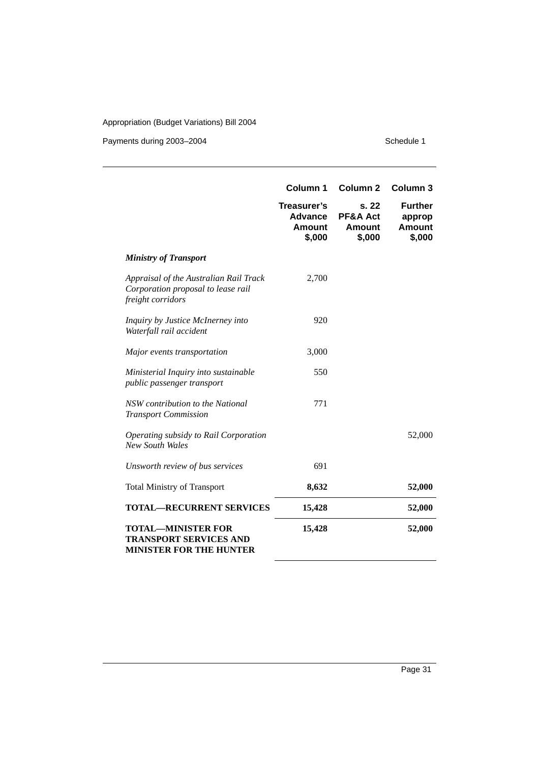Payments during 2003-2004 Schedule 1

|                                                                                                   | Column 1                                          | Column <sub>2</sub>                              | Column 3                                            |
|---------------------------------------------------------------------------------------------------|---------------------------------------------------|--------------------------------------------------|-----------------------------------------------------|
|                                                                                                   | Treasurer's<br>Advance<br><b>Amount</b><br>\$,000 | s. 22<br><b>PF&amp;A Act</b><br>Amount<br>\$,000 | <b>Further</b><br>approp<br><b>Amount</b><br>\$,000 |
| <b>Ministry of Transport</b>                                                                      |                                                   |                                                  |                                                     |
| Appraisal of the Australian Rail Track<br>Corporation proposal to lease rail<br>freight corridors | 2,700                                             |                                                  |                                                     |
| Inquiry by Justice McInerney into<br>Waterfall rail accident                                      | 920                                               |                                                  |                                                     |
| Major events transportation                                                                       | 3,000                                             |                                                  |                                                     |
| Ministerial Inquiry into sustainable<br>public passenger transport                                | 550                                               |                                                  |                                                     |
| NSW contribution to the National<br><b>Transport Commission</b>                                   | 771                                               |                                                  |                                                     |
| Operating subsidy to Rail Corporation<br><b>New South Wales</b>                                   |                                                   |                                                  | 52,000                                              |
| Unsworth review of bus services                                                                   | 691                                               |                                                  |                                                     |
| <b>Total Ministry of Transport</b>                                                                | 8,632                                             |                                                  | 52,000                                              |
| <b>TOTAL—RECURRENT SERVICES</b>                                                                   | 15,428                                            |                                                  | 52,000                                              |
| <b>TOTAL-MINISTER FOR</b><br><b>TRANSPORT SERVICES AND</b><br><b>MINISTER FOR THE HUNTER</b>      | 15,428                                            |                                                  | 52,000                                              |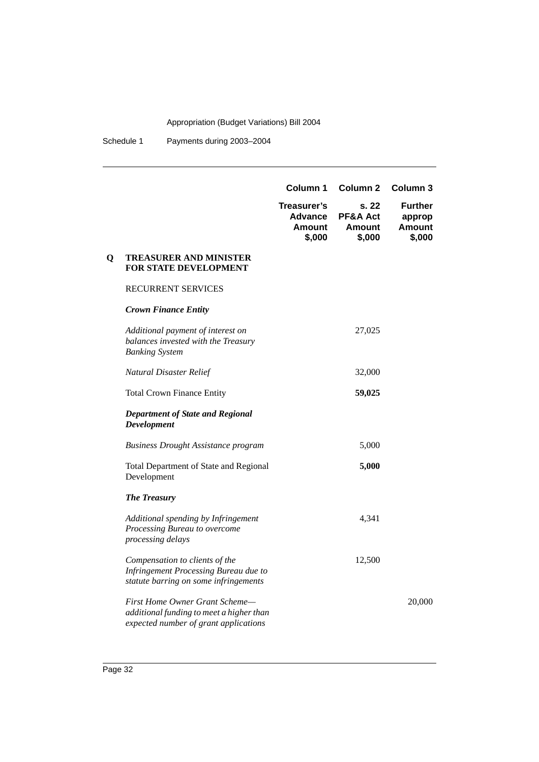|   |                                                                                                                         | Column 1                                                 | Column <sub>2</sub>                   | Column 3                                     |
|---|-------------------------------------------------------------------------------------------------------------------------|----------------------------------------------------------|---------------------------------------|----------------------------------------------|
|   |                                                                                                                         | Treasurer's<br><b>Advance</b><br><b>Amount</b><br>\$,000 | s. 22<br>PF&A Act<br>Amount<br>\$,000 | <b>Further</b><br>approp<br>Amount<br>\$,000 |
| Q | <b>TREASURER AND MINISTER</b><br>FOR STATE DEVELOPMENT                                                                  |                                                          |                                       |                                              |
|   | <b>RECURRENT SERVICES</b>                                                                                               |                                                          |                                       |                                              |
|   | <b>Crown Finance Entity</b>                                                                                             |                                                          |                                       |                                              |
|   | Additional payment of interest on<br>balances invested with the Treasury<br><b>Banking System</b>                       |                                                          | 27,025                                |                                              |
|   | Natural Disaster Relief                                                                                                 |                                                          | 32,000                                |                                              |
|   | <b>Total Crown Finance Entity</b>                                                                                       |                                                          | 59,025                                |                                              |
|   | <b>Department of State and Regional</b><br><b>Development</b>                                                           |                                                          |                                       |                                              |
|   | <b>Business Drought Assistance program</b>                                                                              |                                                          | 5,000                                 |                                              |
|   | Total Department of State and Regional<br>Development                                                                   |                                                          | 5,000                                 |                                              |
|   | <b>The Treasury</b>                                                                                                     |                                                          |                                       |                                              |
|   | Additional spending by Infringement<br>Processing Bureau to overcome<br>processing delays                               |                                                          | 4,341                                 |                                              |
|   | Compensation to clients of the<br><b>Infringement Processing Bureau due to</b><br>statute barring on some infringements |                                                          | 12,500                                |                                              |
|   | First Home Owner Grant Scheme-<br>additional funding to meet a higher than<br>expected number of grant applications     |                                                          |                                       | 20,000                                       |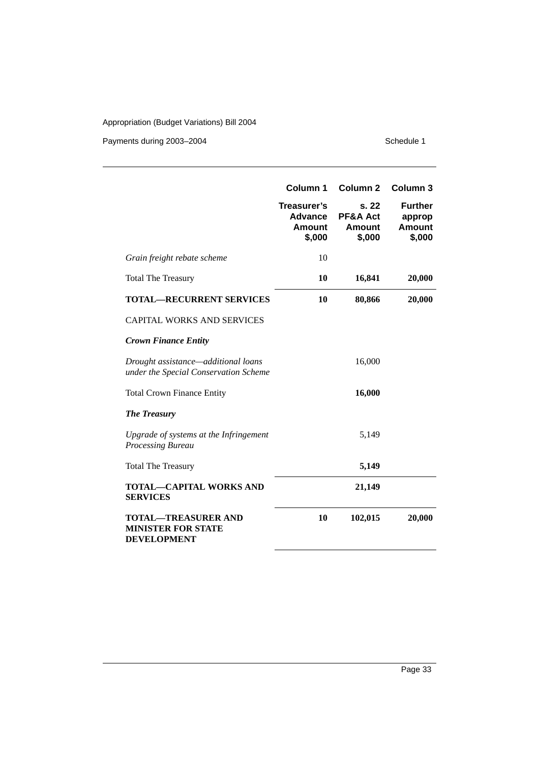Payments during 2003-2004 Schedule 1

|                                                                               | Column 1                                                 | Column <sub>2</sub>                              | Column 3                                     |
|-------------------------------------------------------------------------------|----------------------------------------------------------|--------------------------------------------------|----------------------------------------------|
|                                                                               | Treasurer's<br><b>Advance</b><br><b>Amount</b><br>\$,000 | s. 22<br><b>PF&amp;A Act</b><br>Amount<br>\$,000 | <b>Further</b><br>approp<br>Amount<br>\$,000 |
| Grain freight rebate scheme                                                   | 10                                                       |                                                  |                                              |
| <b>Total The Treasury</b>                                                     | 10                                                       | 16,841                                           | 20,000                                       |
| <b>TOTAL-RECURRENT SERVICES</b>                                               | 10                                                       | 80,866                                           | 20,000                                       |
| <b>CAPITAL WORKS AND SERVICES</b>                                             |                                                          |                                                  |                                              |
| <b>Crown Finance Entity</b>                                                   |                                                          |                                                  |                                              |
| Drought assistance—additional loans<br>under the Special Conservation Scheme  |                                                          | 16,000                                           |                                              |
| <b>Total Crown Finance Entity</b>                                             |                                                          | 16,000                                           |                                              |
| <b>The Treasury</b>                                                           |                                                          |                                                  |                                              |
| Upgrade of systems at the Infringement<br>Processing Bureau                   |                                                          | 5,149                                            |                                              |
| <b>Total The Treasury</b>                                                     |                                                          | 5,149                                            |                                              |
| <b>TOTAL-CAPITAL WORKS AND</b><br><b>SERVICES</b>                             |                                                          | 21,149                                           |                                              |
| <b>TOTAL-TREASURER AND</b><br><b>MINISTER FOR STATE</b><br><b>DEVELOPMENT</b> | 10                                                       | 102,015                                          | 20,000                                       |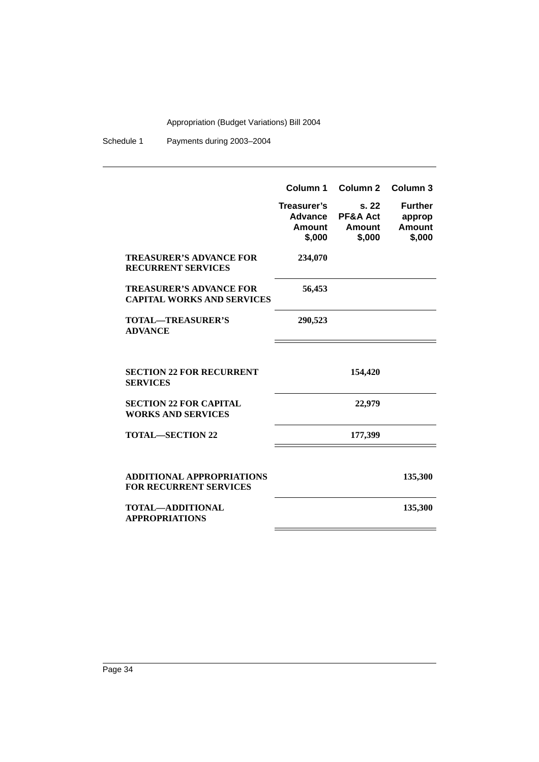|                                                                     | Column 1                                          | Column <sub>2</sub>                             | Column <sub>3</sub>                                 |
|---------------------------------------------------------------------|---------------------------------------------------|-------------------------------------------------|-----------------------------------------------------|
|                                                                     | Treasurer's<br>Advance<br><b>Amount</b><br>\$,000 | s.22<br><b>PF&amp;A Act</b><br>Amount<br>\$,000 | <b>Further</b><br>approp<br><b>Amount</b><br>\$,000 |
| <b>TREASURER'S ADVANCE FOR</b><br><b>RECURRENT SERVICES</b>         | 234,070                                           |                                                 |                                                     |
| <b>TREASURER'S ADVANCE FOR</b><br><b>CAPITAL WORKS AND SERVICES</b> | 56,453                                            |                                                 |                                                     |
| <b>TOTAL—TREASURER'S</b><br><b>ADVANCE</b>                          | 290,523                                           |                                                 |                                                     |
|                                                                     |                                                   |                                                 |                                                     |
| <b>SECTION 22 FOR RECURRENT</b><br><b>SERVICES</b>                  |                                                   | 154,420                                         |                                                     |
| <b>SECTION 22 FOR CAPITAL</b><br><b>WORKS AND SERVICES</b>          |                                                   | 22,979                                          |                                                     |
| <b>TOTAL—SECTION 22</b>                                             |                                                   | 177,399                                         |                                                     |
|                                                                     |                                                   |                                                 |                                                     |
| <b>ADDITIONAL APPROPRIATIONS</b><br><b>FOR RECURRENT SERVICES</b>   |                                                   |                                                 | 135,300                                             |
| TOTAL-ADDITIONAL<br><b>APPROPRIATIONS</b>                           |                                                   |                                                 | 135,300                                             |
|                                                                     |                                                   |                                                 |                                                     |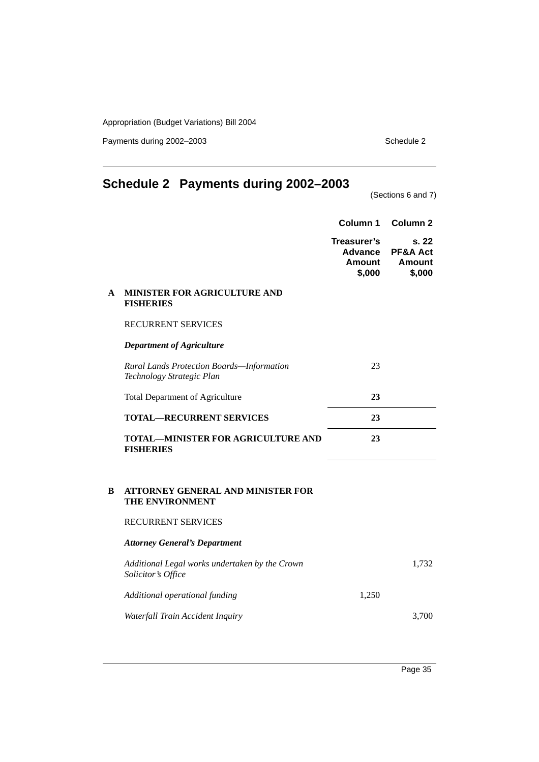Payments during 2002–2003 Schedule 2

## **Schedule 2 Payments during 2002–2003**

(Sections 6 and 7)

|   |                                                                        | Column <sub>1</sub>                               | Column <sub>2</sub>                                     |
|---|------------------------------------------------------------------------|---------------------------------------------------|---------------------------------------------------------|
|   |                                                                        | Treasurer's<br>Advance<br><b>Amount</b><br>\$,000 | s. 22<br><b>PF&amp;A Act</b><br><b>Amount</b><br>\$,000 |
| A | MINISTER FOR AGRICULTURE AND<br><b>FISHERIES</b>                       |                                                   |                                                         |
|   | RECURRENT SERVICES                                                     |                                                   |                                                         |
|   | <b>Department of Agriculture</b>                                       |                                                   |                                                         |
|   | Rural Lands Protection Boards-Information<br>Technology Strategic Plan | 23                                                |                                                         |
|   | <b>Total Department of Agriculture</b>                                 | 23                                                |                                                         |
|   | <b>TOTAL-RECURRENT SERVICES</b>                                        | 23                                                |                                                         |
|   | <b>TOTAL-MINISTER FOR AGRICULTURE AND</b><br><b>FISHERIES</b>          | 23                                                |                                                         |
| B | <b>ATTORNEY GENERAL AND MINISTER FOR</b><br>THE ENVIRONMENT            |                                                   |                                                         |
|   | RECURRENT SERVICES                                                     |                                                   |                                                         |
|   | <b>Attorney General's Department</b>                                   |                                                   |                                                         |
|   | Additional Legal works undertaken by the Crown<br>Solicitor's Office   |                                                   | 1,732                                                   |
|   | Additional operational funding                                         | 1,250                                             |                                                         |
|   | Waterfall Train Accident Inquiry                                       |                                                   | 3,700                                                   |
|   |                                                                        |                                                   |                                                         |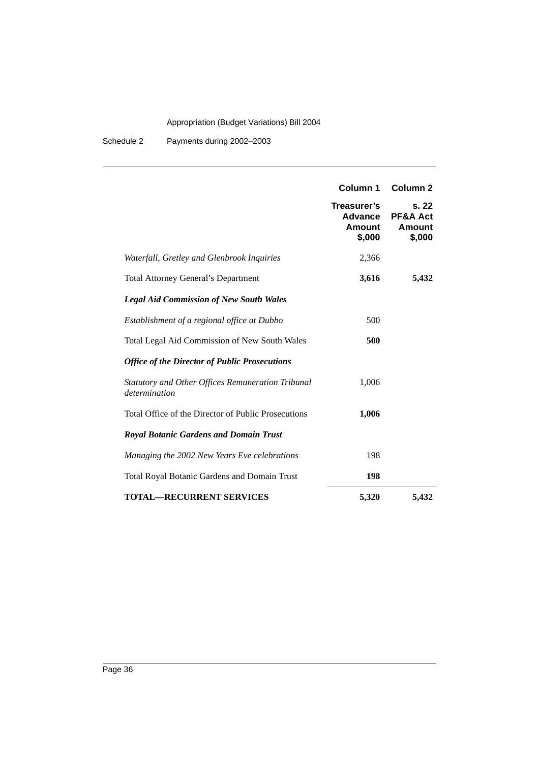|                                                                           | Column 1<br>Treasurer's<br><b>Advance</b><br><b>Amount</b><br>\$,000 | Column <sub>2</sub><br>s. 22<br><b>PF&amp;A Act</b><br>Amount<br>\$,000 |
|---------------------------------------------------------------------------|----------------------------------------------------------------------|-------------------------------------------------------------------------|
| Waterfall, Gretley and Glenbrook Inquiries                                | 2,366                                                                |                                                                         |
| <b>Total Attorney General's Department</b>                                | 3,616                                                                | 5,432                                                                   |
| <b>Legal Aid Commission of New South Wales</b>                            |                                                                      |                                                                         |
| Establishment of a regional office at Dubbo                               | 500                                                                  |                                                                         |
| Total Legal Aid Commission of New South Wales                             | 500                                                                  |                                                                         |
| <b>Office of the Director of Public Prosecutions</b>                      |                                                                      |                                                                         |
| <b>Statutory and Other Offices Remuneration Tribunal</b><br>determination | 1,006                                                                |                                                                         |
| Total Office of the Director of Public Prosecutions                       | 1,006                                                                |                                                                         |
| <b>Royal Botanic Gardens and Domain Trust</b>                             |                                                                      |                                                                         |
| Managing the 2002 New Years Eve celebrations                              | 198                                                                  |                                                                         |
| Total Royal Botanic Gardens and Domain Trust                              | 198                                                                  |                                                                         |
| <b>TOTAL-RECURRENT SERVICES</b>                                           | 5,320                                                                | 5,432                                                                   |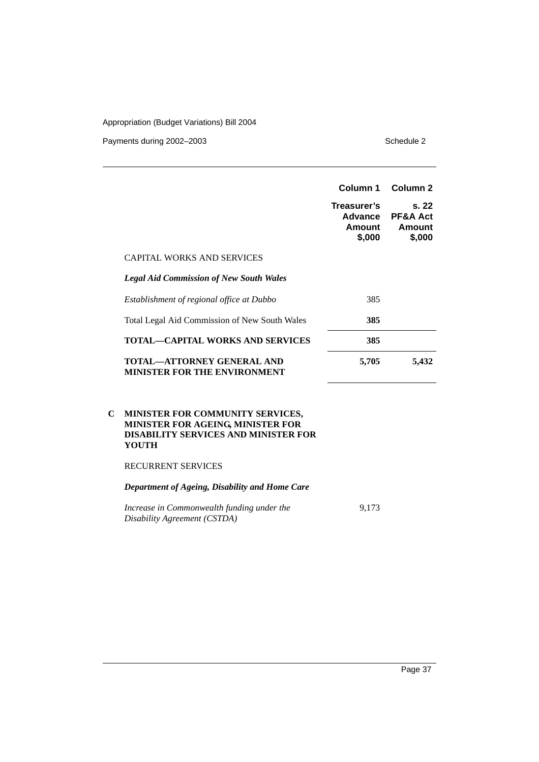Payments during 2002–2003 Schedule 2

|                                                                          | Column 1                                   | Column <sub>2</sub>                              |
|--------------------------------------------------------------------------|--------------------------------------------|--------------------------------------------------|
|                                                                          | Treasurer's<br>Advance<br>Amount<br>\$,000 | s. 22<br><b>PF&amp;A Act</b><br>Amount<br>\$,000 |
| <b>CAPITAL WORKS AND SERVICES</b>                                        |                                            |                                                  |
| <b>Legal Aid Commission of New South Wales</b>                           |                                            |                                                  |
| Establishment of regional office at Dubbo                                | 385                                        |                                                  |
| <b>Total Legal Aid Commission of New South Wales</b>                     | 385                                        |                                                  |
| <b>TOTAL—CAPITAL WORKS AND SERVICES</b>                                  | 385                                        |                                                  |
| <b>TOTAL—ATTORNEY GENERAL AND</b><br><b>MINISTER FOR THE ENVIRONMENT</b> | 5,705                                      | 5,432                                            |

#### **C MINISTER FOR COMMUNITY SERVICES, MINISTER FOR AGEING, MINISTER FOR DISABILITY SERVICES AND MINISTER FOR YOUTH**

#### RECURRENT SERVICES

*Department of Ageing, Disability and Home Care*

| Increase in Commonwealth funding under the | 9.173 |  |
|--------------------------------------------|-------|--|
| Disability Agreement (CSTDA)               |       |  |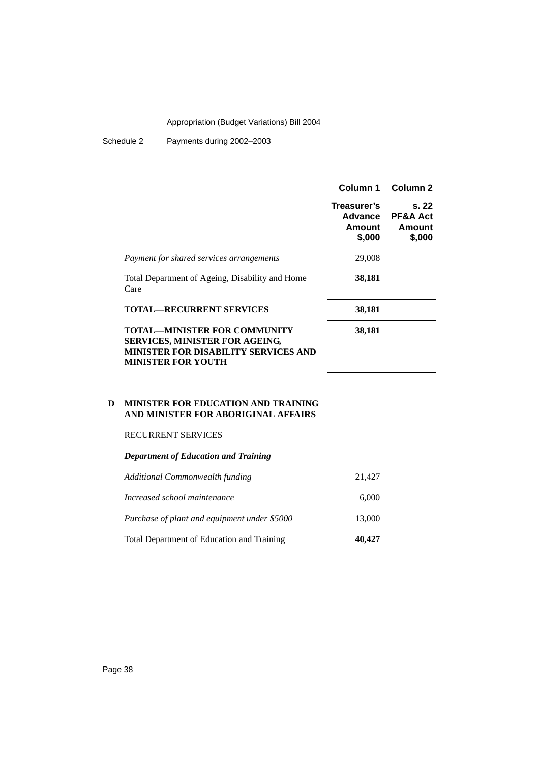Schedule 2 Payments during 2002–2003

|                                                                                                                                                          | Column 1<br>Treasurer's<br>Advance<br>Amount<br>\$,000 | Column <sub>2</sub><br>s.22<br><b>PF&amp;A Act</b><br>Amount<br>\$,000 |
|----------------------------------------------------------------------------------------------------------------------------------------------------------|--------------------------------------------------------|------------------------------------------------------------------------|
| Payment for shared services arrangements                                                                                                                 | 29,008                                                 |                                                                        |
| Total Department of Ageing, Disability and Home<br>Care                                                                                                  | 38,181                                                 |                                                                        |
| <b>TOTAL—RECURRENT SERVICES</b>                                                                                                                          | 38,181                                                 |                                                                        |
| <b>TOTAL—MINISTER FOR COMMUNITY</b><br><b>SERVICES, MINISTER FOR AGEING,</b><br><b>MINISTER FOR DISABILITY SERVICES AND</b><br><b>MINISTER FOR YOUTH</b> | 38,181                                                 |                                                                        |

#### **D MINISTER FOR EDUCATION AND TRAINING AND MINISTER FOR ABORIGINAL AFFAIRS**

#### RECURRENT SERVICES

#### *Department of Education and Training*

| <b>Total Department of Education and Training</b> | 40,427 |
|---------------------------------------------------|--------|
| Purchase of plant and equipment under \$5000      | 13,000 |
| Increased school maintenance                      | 6,000  |
| Additional Commonwealth funding                   | 21,427 |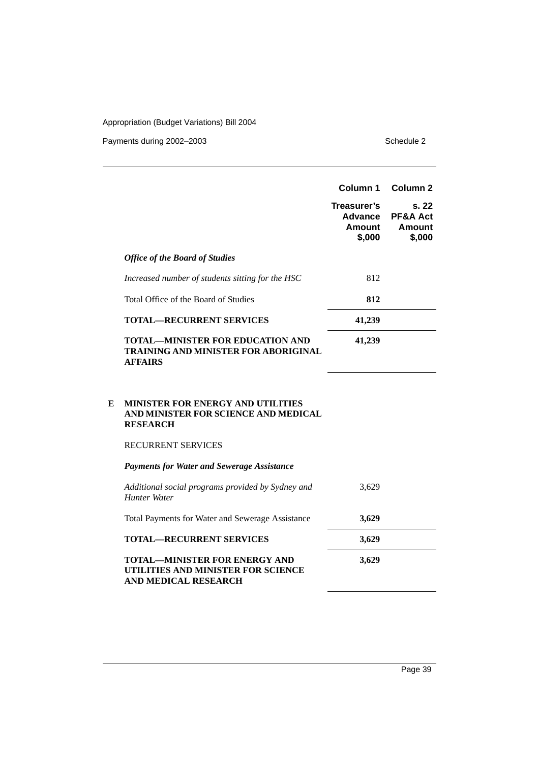Payments during 2002–2003 Schedule 2

|                                                                                                   | Column 1<br>Treasurer's<br>Advance<br>Amount<br>\$,000 | Column <sub>2</sub><br>s.22<br><b>PF&amp;A Act</b><br>Amount<br>\$,000 |
|---------------------------------------------------------------------------------------------------|--------------------------------------------------------|------------------------------------------------------------------------|
| <b>Office of the Board of Studies</b>                                                             |                                                        |                                                                        |
| Increased number of students sitting for the HSC                                                  | 812                                                    |                                                                        |
| Total Office of the Board of Studies                                                              | 812                                                    |                                                                        |
| <b>TOTAL—RECURRENT SERVICES</b>                                                                   | 41,239                                                 |                                                                        |
| <b>TOTAL—MINISTER FOR EDUCATION AND</b><br>TRAINING AND MINISTER FOR ABORIGINAL<br><b>AFFAIRS</b> | 41,239                                                 |                                                                        |

#### **E MINISTER FOR ENERGY AND UTILITIES AND MINISTER FOR SCIENCE AND MEDICAL RESEARCH**

#### RECURRENT SERVICES

| <b>Payments for Water and Sewerage Assistance</b>                        |       |
|--------------------------------------------------------------------------|-------|
| Additional social programs provided by Sydney and<br><b>Hunter Water</b> | 3.629 |
| <b>Total Payments for Water and Sewerage Assistance</b>                  | 3,629 |
| <b>TOTAL—RECURRENT SERVICES</b>                                          | 3,629 |

**TOTAL—MINISTER FOR ENERGY AND UTILITIES AND MINISTER FOR SCIENCE AND MEDICAL RESEARCH 3,629**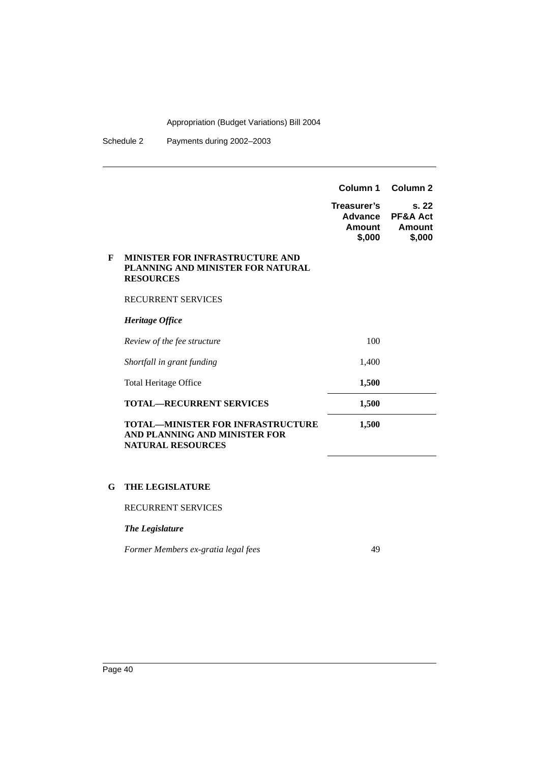Schedule 2 Payments during 2002–2003

|   |                                                                                                       | Column 1                                   | Column <sub>2</sub>                             |
|---|-------------------------------------------------------------------------------------------------------|--------------------------------------------|-------------------------------------------------|
|   |                                                                                                       | Treasurer's<br>Advance<br>Amount<br>\$,000 | s.22<br><b>PF&amp;A Act</b><br>Amount<br>\$,000 |
| F | <b>MINISTER FOR INFRASTRUCTURE AND</b><br>PLANNING AND MINISTER FOR NATURAL<br><b>RESOURCES</b>       |                                            |                                                 |
|   | <b>RECURRENT SERVICES</b>                                                                             |                                            |                                                 |
|   | Heritage Office                                                                                       |                                            |                                                 |
|   | Review of the fee structure                                                                           | 100                                        |                                                 |
|   | Shortfall in grant funding                                                                            | 1,400                                      |                                                 |
|   | <b>Total Heritage Office</b>                                                                          | 1,500                                      |                                                 |
|   | <b>TOTAL-RECURRENT SERVICES</b>                                                                       | 1,500                                      |                                                 |
|   | <b>TOTAL—MINISTER FOR INFRASTRUCTURE</b><br>AND PLANNING AND MINISTER FOR<br><b>NATURAL RESOURCES</b> | 1,500                                      |                                                 |

### **G THE LEGISLATURE**

RECURRENT SERVICES

### *The Legislature*

*Former Members ex-gratia legal fees* 49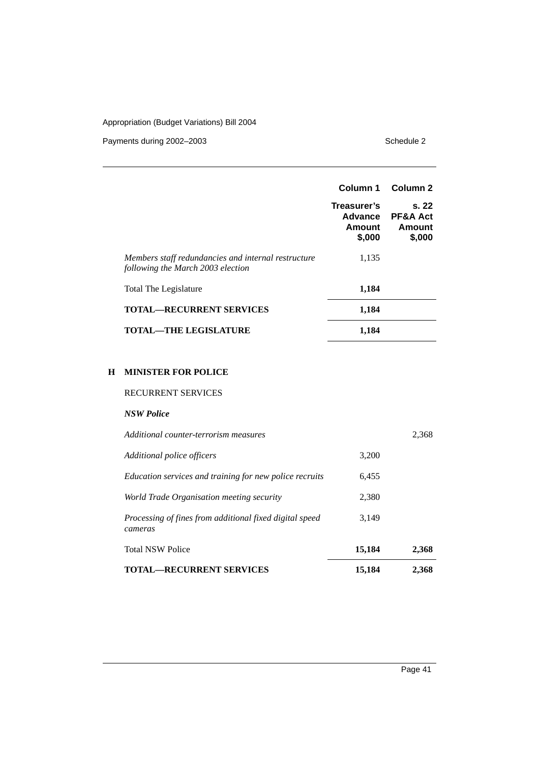Payments during 2002–2003 Schedule 2

|                                                                                          | Column 1<br>Treasurer's<br>Advance<br>Amount<br>\$,000 | Column 2<br>s.22<br><b>PF&amp;A Act</b><br>Amount<br>\$,000 |
|------------------------------------------------------------------------------------------|--------------------------------------------------------|-------------------------------------------------------------|
| Members staff redundancies and internal restructure<br>following the March 2003 election | 1,135                                                  |                                                             |
| Total The Legislature                                                                    | 1,184                                                  |                                                             |
| <b>TOTAL—RECURRENT SERVICES</b>                                                          | 1,184                                                  |                                                             |
| <b>TOTAL—THE LEGISLATURE</b>                                                             | 1,184                                                  |                                                             |

### **H MINISTER FOR POLICE**

#### RECURRENT SERVICES

| <b>NSW Police</b>                                                  |        |       |
|--------------------------------------------------------------------|--------|-------|
| Additional counter-terrorism measures                              |        | 2,368 |
| Additional police officers                                         | 3,200  |       |
| Education services and training for new police recruits            | 6,455  |       |
| World Trade Organisation meeting security                          | 2,380  |       |
| Processing of fines from additional fixed digital speed<br>cameras | 3.149  |       |
| <b>Total NSW Police</b>                                            | 15,184 | 2,368 |
| <b>TOTAL—RECURRENT SERVICES</b>                                    | 15,184 | 2,368 |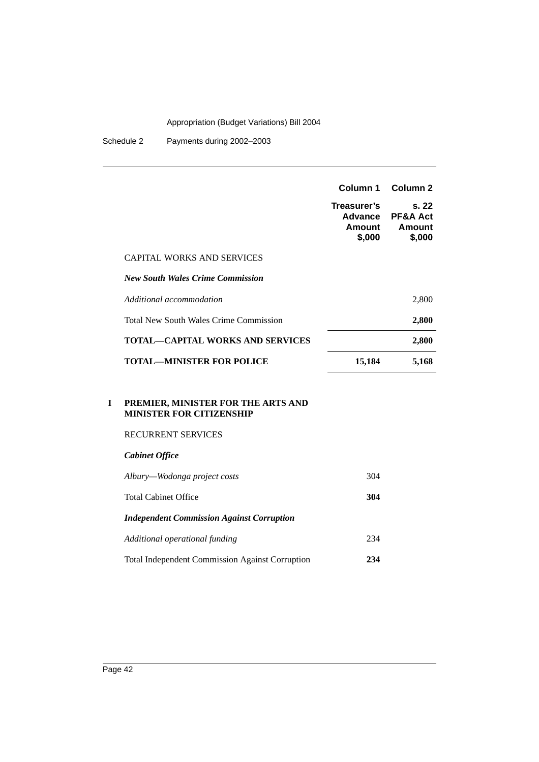Schedule 2 Payments during 2002–2003

|                                         | Column 1                                   | Column <sub>2</sub>                              |
|-----------------------------------------|--------------------------------------------|--------------------------------------------------|
|                                         | Treasurer's<br>Advance<br>Amount<br>\$,000 | s. 22<br><b>PF&amp;A Act</b><br>Amount<br>\$,000 |
| <b>CAPITAL WORKS AND SERVICES</b>       |                                            |                                                  |
| <b>New South Wales Crime Commission</b> |                                            |                                                  |
| Additional accommodation                |                                            | 2,800                                            |
| Total New South Wales Crime Commission  |                                            | 2,800                                            |
| <b>TOTAL—CAPITAL WORKS AND SERVICES</b> |                                            | 2,800                                            |
| <b>TOTAL—MINISTER FOR POLICE</b>        | 15,184                                     | 5,168                                            |

#### **I PREMIER, MINISTER FOR THE ARTS AND MINISTER FOR CITIZENSHIP**

#### RECURRENT SERVICES

#### *Cabinet Office*

| Albury—Wodonga project costs                           | 304 |
|--------------------------------------------------------|-----|
| Total Cabinet Office                                   | 304 |
| <b>Independent Commission Against Corruption</b>       |     |
| Additional operational funding                         | 234 |
| <b>Total Independent Commission Against Corruption</b> | 234 |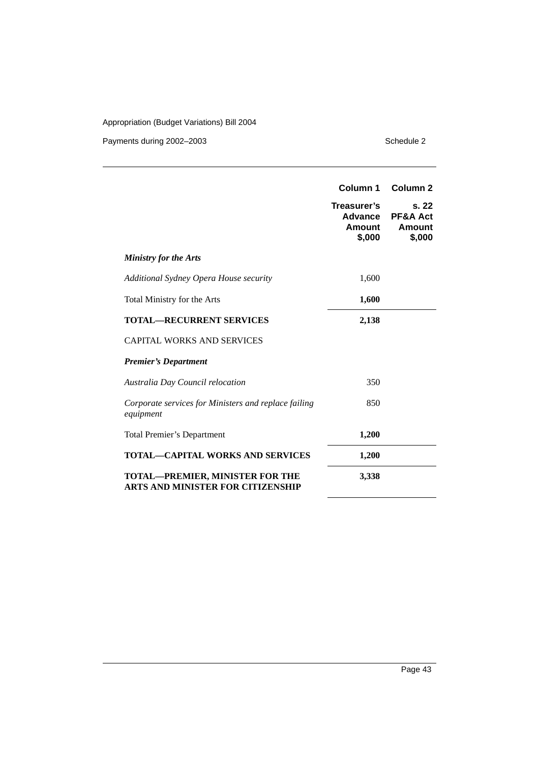Payments during 2002–2003 Schedule 2

|                                                                                    | Column 1<br>Treasurer's<br><b>Advance</b><br>Amount<br>\$,000 | Column <sub>2</sub><br>s. 22<br><b>PF&amp;A Act</b><br>Amount<br>\$,000 |
|------------------------------------------------------------------------------------|---------------------------------------------------------------|-------------------------------------------------------------------------|
| <b>Ministry for the Arts</b>                                                       |                                                               |                                                                         |
| Additional Sydney Opera House security                                             | 1,600                                                         |                                                                         |
| Total Ministry for the Arts                                                        | 1,600                                                         |                                                                         |
| <b>TOTAL—RECURRENT SERVICES</b>                                                    | 2,138                                                         |                                                                         |
| <b>CAPITAL WORKS AND SERVICES</b>                                                  |                                                               |                                                                         |
| <b>Premier's Department</b>                                                        |                                                               |                                                                         |
| Australia Day Council relocation                                                   | 350                                                           |                                                                         |
| Corporate services for Ministers and replace failing<br>equipment                  | 850                                                           |                                                                         |
| <b>Total Premier's Department</b>                                                  | 1,200                                                         |                                                                         |
| <b>TOTAL—CAPITAL WORKS AND SERVICES</b>                                            | 1,200                                                         |                                                                         |
| <b>TOTAL-PREMIER, MINISTER FOR THE</b><br><b>ARTS AND MINISTER FOR CITIZENSHIP</b> | 3,338                                                         |                                                                         |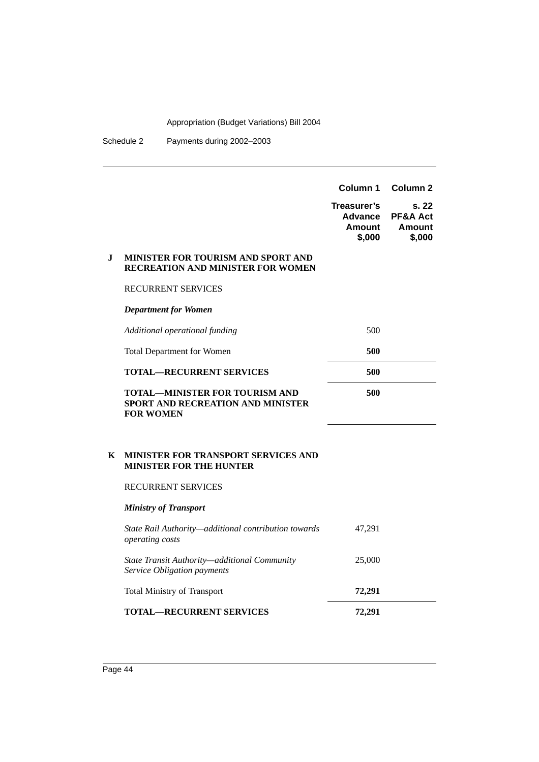| $\mathbf I$ | MINISTER FOR TOURISM AND SPORT AND<br><b>RECREATION AND MINISTER FOR WOMEN</b><br><b>RECURRENT SERVICES</b><br><b>Department for Women</b> | Column 1<br>Treasurer's<br>Advance<br><b>Amount</b><br>\$,000 | Column 2<br>s. 22<br><b>PF&amp;A Act</b><br><b>Amount</b><br>\$,000 |
|-------------|--------------------------------------------------------------------------------------------------------------------------------------------|---------------------------------------------------------------|---------------------------------------------------------------------|
|             | Additional operational funding                                                                                                             | 500                                                           |                                                                     |
|             | <b>Total Department for Women</b>                                                                                                          | 500                                                           |                                                                     |
|             | <b>TOTAL—RECURRENT SERVICES</b>                                                                                                            | 500                                                           |                                                                     |
|             | <b>TOTAL—MINISTER FOR TOURISM AND</b><br>SPORT AND RECREATION AND MINISTER<br><b>FOR WOMEN</b>                                             | 500                                                           |                                                                     |
| K           | <b>MINISTER FOR TRANSPORT SERVICES AND</b><br><b>MINISTER FOR THE HUNTER</b>                                                               |                                                               |                                                                     |
|             | <b>RECURRENT SERVICES</b>                                                                                                                  |                                                               |                                                                     |
|             | <b>Ministry of Transport</b>                                                                                                               |                                                               |                                                                     |
|             | State Rail Authority-additional contribution towards<br>operating costs                                                                    | 47,291                                                        |                                                                     |
|             | State Transit Authority-additional Community<br>Service Obligation payments                                                                | 25,000                                                        |                                                                     |
|             | <b>Total Ministry of Transport</b>                                                                                                         | 72,291                                                        |                                                                     |
|             | <b>TOTAL—RECURRENT SERVICES</b>                                                                                                            | 72,291                                                        |                                                                     |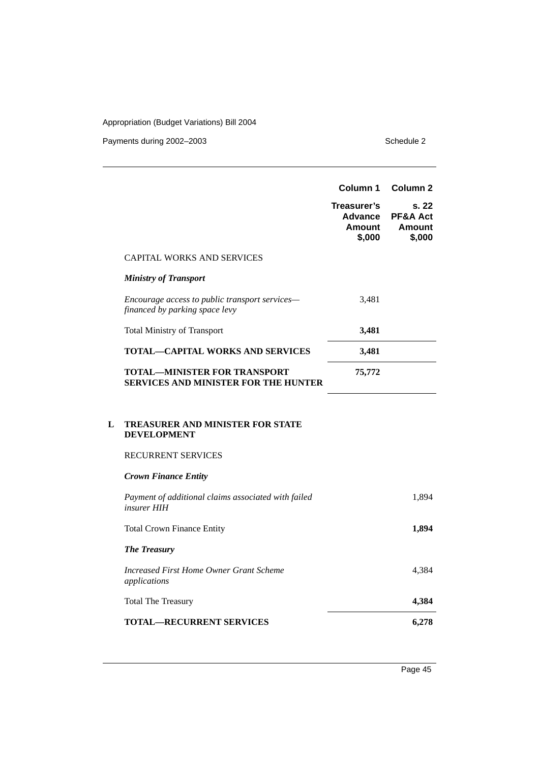Payments during 2002–2003 Schedule 2

| <b>CAPITAL WORKS AND SERVICES</b><br><b>Ministry of Transport</b><br>Encourage access to public transport services-<br>3,481<br>financed by parking space levy<br>3,481<br><b>Total Ministry of Transport</b><br><b>TOTAL-CAPITAL WORKS AND SERVICES</b><br>3,481<br><b>TOTAL—MINISTER FOR TRANSPORT</b><br>75,772<br><b>SERVICES AND MINISTER FOR THE HUNTER</b><br>TREASURER AND MINISTER FOR STATE<br><b>DEVELOPMENT</b><br><b>RECURRENT SERVICES</b><br><b>Crown Finance Entity</b><br>Payment of additional claims associated with failed<br>insurer HIH<br><b>Total Crown Finance Entity</b><br><b>The Treasury</b><br>Increased First Home Owner Grant Scheme<br>applications | Column 1<br>Treasurer's<br>Advance<br>Amount<br>\$,000 | Column <sub>2</sub><br>s. 22<br>PF&A Act<br><b>Amount</b><br>\$,000 |
|--------------------------------------------------------------------------------------------------------------------------------------------------------------------------------------------------------------------------------------------------------------------------------------------------------------------------------------------------------------------------------------------------------------------------------------------------------------------------------------------------------------------------------------------------------------------------------------------------------------------------------------------------------------------------------------|--------------------------------------------------------|---------------------------------------------------------------------|
|                                                                                                                                                                                                                                                                                                                                                                                                                                                                                                                                                                                                                                                                                      |                                                        |                                                                     |
|                                                                                                                                                                                                                                                                                                                                                                                                                                                                                                                                                                                                                                                                                      |                                                        |                                                                     |
|                                                                                                                                                                                                                                                                                                                                                                                                                                                                                                                                                                                                                                                                                      |                                                        |                                                                     |
| L                                                                                                                                                                                                                                                                                                                                                                                                                                                                                                                                                                                                                                                                                    |                                                        |                                                                     |
|                                                                                                                                                                                                                                                                                                                                                                                                                                                                                                                                                                                                                                                                                      |                                                        |                                                                     |
|                                                                                                                                                                                                                                                                                                                                                                                                                                                                                                                                                                                                                                                                                      |                                                        |                                                                     |
|                                                                                                                                                                                                                                                                                                                                                                                                                                                                                                                                                                                                                                                                                      |                                                        |                                                                     |
|                                                                                                                                                                                                                                                                                                                                                                                                                                                                                                                                                                                                                                                                                      |                                                        |                                                                     |
|                                                                                                                                                                                                                                                                                                                                                                                                                                                                                                                                                                                                                                                                                      |                                                        | 1,894                                                               |
|                                                                                                                                                                                                                                                                                                                                                                                                                                                                                                                                                                                                                                                                                      |                                                        | 1,894                                                               |
|                                                                                                                                                                                                                                                                                                                                                                                                                                                                                                                                                                                                                                                                                      |                                                        |                                                                     |
|                                                                                                                                                                                                                                                                                                                                                                                                                                                                                                                                                                                                                                                                                      |                                                        | 4,384                                                               |
| <b>Total The Treasury</b>                                                                                                                                                                                                                                                                                                                                                                                                                                                                                                                                                                                                                                                            |                                                        | 4,384                                                               |
| <b>TOTAL-RECURRENT SERVICES</b>                                                                                                                                                                                                                                                                                                                                                                                                                                                                                                                                                                                                                                                      |                                                        | 6,278                                                               |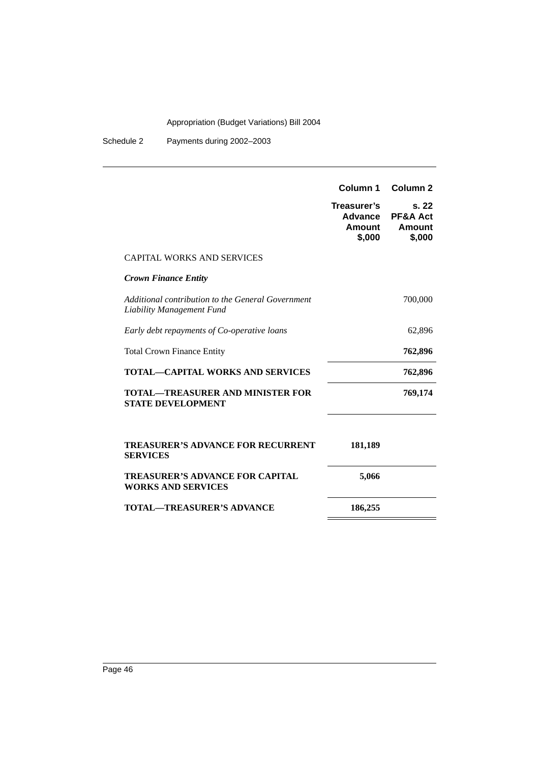|                                                                                | Column 1<br>Treasurer's<br>Advance<br>Amount<br>\$,000 | Column <sub>2</sub><br>s.22<br><b>PF&amp;A Act</b><br>Amount<br>\$,000 |
|--------------------------------------------------------------------------------|--------------------------------------------------------|------------------------------------------------------------------------|
| <b>CAPITAL WORKS AND SERVICES</b>                                              |                                                        |                                                                        |
| <b>Crown Finance Entity</b>                                                    |                                                        |                                                                        |
| Additional contribution to the General Government<br>Liability Management Fund |                                                        | 700,000                                                                |
| Early debt repayments of Co-operative loans                                    |                                                        | 62,896                                                                 |
| <b>Total Crown Finance Entity</b>                                              |                                                        | 762,896                                                                |
| <b>TOTAL—CAPITAL WORKS AND SERVICES</b>                                        |                                                        | 762,896                                                                |
| <b>TOTAL—TREASURER AND MINISTER FOR</b><br><b>STATE DEVELOPMENT</b>            |                                                        | 769,174                                                                |
| <b>TREASURER'S ADVANCE FOR RECURRENT</b><br><b>SERVICES</b>                    | 181,189                                                |                                                                        |
| <b>TREASURER'S ADVANCE FOR CAPITAL</b><br><b>WORKS AND SERVICES</b>            | 5,066                                                  |                                                                        |
| <b>TOTAL—TREASURER'S ADVANCE</b>                                               | 186,255                                                |                                                                        |